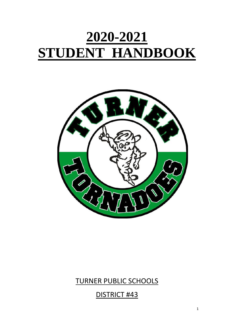# **2020-2021 STUDENT HANDBOOK**



# TURNER PUBLIC SCHOOLS

DISTRICT #43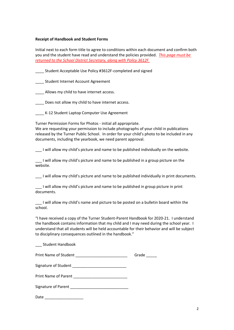#### **Receipt of Handbook and Student Forms**

Initial next to each form title to agree to conditions within each document and confirm both you and the student have read and understand the policies provided. *This page must be returned to the School District Secretary, along with Policy 3612F* 

Student Acceptable Use Policy #3612F-completed and signed

\_\_\_\_ Student Internet Account Agreement

\_\_\_\_ Allows my child to have internet access.

\_\_\_\_ Does not allow my child to have internet access.

\_\_\_\_ K-12 Student Laptop Computer Use Agreement

Turner Permission Forms for Photos - initial all appropriate.

We are requesting your permission to include photographs of your child in publications released by the Turner Public School. In order for your child's photo to be included in any documents, including the yearbook, we need parent approval.

I will allow my child's picture and name to be published individually on the website.

\_\_\_ I will allow my child's picture and name to be published in a group picture on the website.

\_\_\_ I will allow my child's picture and name to be published individually in print documents.

I will allow my child's picture and name to be published in group picture in print documents.

I will allow my child's name and picture to be posted on a bulletin board within the school.

"I have received a copy of the Turner Student-Parent Handbook for 2020-21. I understand the handbook contains information that my child and I may need during the school year. I understand that all students will be held accountable for their behavior and will be subject to disciplinary consequences outlined in the handbook."

\_\_\_ Student Handbook

|      | Grade |
|------|-------|
|      |       |
|      |       |
|      |       |
| Date |       |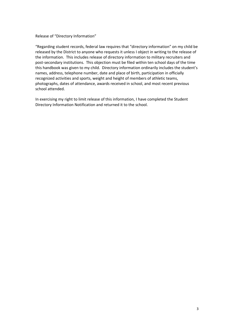#### Release of "Directory Information"

"Regarding student records, federal law requires that "directory information" on my child be released by the District to anyone who requests it unless I object in writing to the release of the information. This includes release of directory information to military recruiters and post-secondary institutions. This objection must be filed within ten school days of the time this handbook was given to my child. Directory information ordinarily includes the student's names, address, telephone number, date and place of birth, participation in officially recognized activities and sports, weight and height of members of athletic teams, photographs, dates of attendance, awards received in school, and most recent previous school attended.

In exercising my right to limit release of this information, I have completed the Student Directory Information Notification and returned it to the school.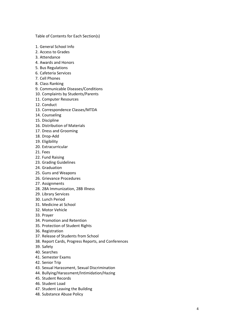Table of Contents for Each Section(s)

- 1. General School Info
- 2. Access to Grades
- 3. Attendance
- 4. Awards and Honors
- 5. Bus Regulations
- 6. Cafeteria Services
- 7. Cell Phones
- 8. Class Ranking
- 9. Communicable Diseases/Conditions
- 10. Complaints by Students/Parents
- 11. Computer Resources
- 12. Conduct
- 13. Correspondence Classes/MTDA
- 14. Counseling
- 15. Discipline
- 16. Distribution of Materials
- 17. Dress and Grooming
- 18. Drop -Add
- 19. Eligibility
- 20. Extracurricular
- 21. Fees
- 22. Fund Raising
- 23. Grading Guidelines
- 24. Graduation
- 25. Guns and Weapons
- 26. Grievance Procedures
- 27. Assignments
- 28. 28A Immunization, 28B Illness
- 29. Library Services
- 30. Lunch Period
- 31. Medicine at School
- 32. Motor Vehicle
- 33. Prayer
- 34. Promotion and Retention
- 35. Protection of Student Rights
- 36. Registration
- 37. Release of Students from School
- 38. Report Cards, Progress Reports, and Conferences
- 39. Safety
- 40. Searches
- 41. Semester Exams
- 42. Senior Trip
- 43. Sexual Harassment, Sexual Discrimination
- 44. Bullying/Harassment/Intimidation/Hazing
- 45. Student Records
- 46. Student Load
- 47. Student Leaving the Building
- 48. Substance Abuse Policy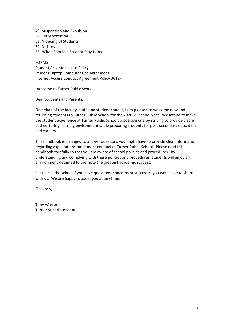- 49. Suspension and Expulsion
- 50. Transportation
- 51. Videoing of Students
- 52. Visitors
- 53. When Should a Student Stay Home

FORMS: Student Acceptable Use Policy Student Laptop Computer Use Agreement Internet Access Conduct Agreement Policy 3612F

Welcome to Turner Public School

Dear Students and Parents,

On behalf of the faculty, staff, and student council, I am pleased to welcome new and returning students to Turner Public School for the 2020-21 school year. We intend to make the student experience at Turner Public Schools a positive one by striving to provide a safe and nurturing learning environment while preparing students for post-secondary education and careers.

This handbook is arranged to answer questions you might have to provide clear information regarding expectations for student conduct at Turner Public School. Please read this handbook carefully so that you are aware of school policies and procedures. By understanding and complying with these policies and procedures, students will enjoy an environment designed to promote the greatest academic success.

Please call the school if you have questions, concerns or successes you would like to share with us. We are happy to assist you at any time.

Sincerely,

Tony Warren Turner Superintendent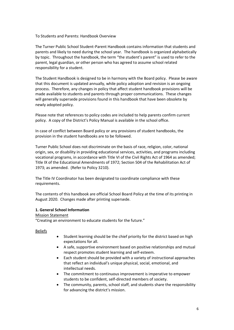#### To Students and Parents: Handbook Overview

The Turner Public School Student-Parent Handbook contains information that students and parents and likely to need during the school year. The handbook is organized alphabetically by topic. Throughout the handbook, the term "the student's parent" is used to refer to the parent, legal guardian, or other person who has agreed to assume school related responsibility for a student.

The Student Handbook is designed to be in harmony with the Board policy. Please be aware that this document is updated annually, while policy adoption and revision is an ongoing process. Therefore, any changes in policy that affect student handbook provisions will be made available to students and parents through proper communications. These changes will generally supersede provisions found in this handbook that have been obsolete by newly adopted policy.

Please note that references to policy codes are included to help parents confirm current policy. A copy of the District's Policy Manual is available in the school office.

In case of conflict between Board policy or any provisions of student handbooks, the provision in the student handbooks are to be followed.

Turner Public School does not discriminate on the basis of race, religion, color, national origin, sex, or disability in providing educational services, activities, and programs including vocational programs, in accordance with Title VI of the Civil Rights Act of 1964 as amended; Title IX of the Educational Amendments of 1972; Section 504 of the Rehabilitation Act of 1973; as amended. (Refer to Policy 3210).

The Title IV Coordinator has been designated to coordinate compliance with these requirements.

The contents of this handbook are official School Board Policy at the time of its printing in August 2020. Changes made after printing supersede.

#### **1. General School Information**

#### Mission Statement

"Creating an environment to educate students for the future."

#### **Beliefs**

- Student learning should be the chief priority for the district based on high expectations for all.
- A safe, supportive environment based on positive relationships and mutual respect promotes student learning and self-esteem.
- Each student should be provided with a variety of instructional approaches that reflect an individual's unique physical, social, emotional, and intellectual needs.
- The commitment to continuous improvement is imperative to empower students to be confident, self-directed members of society.
- The community, parents, school staff, and students share the responsibility for advancing the district's mission.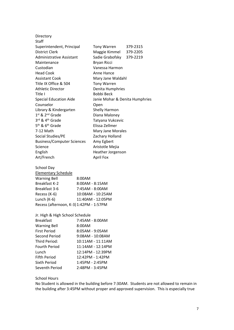| Directory                               |                                |          |  |
|-----------------------------------------|--------------------------------|----------|--|
| Staff                                   |                                |          |  |
| Superintendent, Principal               | <b>Tony Warren</b>             | 379-2315 |  |
| District Clerk                          | Maggie Kimmel                  | 379-2205 |  |
| Administrative Assistant                | Sadie Grabofsky 379-2219       |          |  |
| Maintenance                             | Bryan Ricci                    |          |  |
| Custodian                               | Vanessa Harmon                 |          |  |
| <b>Head Cook</b>                        | Anne Hance                     |          |  |
| <b>Assistant Cook</b>                   | Mary Jane Waldahl              |          |  |
| Title IX Office & 504                   | <b>Tony Warren</b>             |          |  |
| Athletic Director                       | Denita Humphries               |          |  |
| Title I                                 | Bobbi Beck                     |          |  |
| <b>Special Education Aide</b>           | Janie Mohar & Denita Humphries |          |  |
| Counselor                               | Open                           |          |  |
| Library & Kindergarten                  | Shelly Harmon                  |          |  |
| 1st & 2nd Grade                         | Diana Maloney                  |          |  |
| 3rd & 4th Grade                         | Tatyana Vukcevic               |          |  |
| 5 <sup>th</sup> & 6 <sup>th</sup> Grade | Elissa Zellmer                 |          |  |
| 7-12 Math                               | Mary Jane Morales              |          |  |
| Social Studies/PE                       | Zachary Holland                |          |  |
| <b>Business/Computer Sciences</b>       | Amy Egbert                     |          |  |
| Science                                 | Aristotle Mejia                |          |  |
| English                                 | Heather Jorgenson              |          |  |
| Art/French                              | April Fox                      |          |  |
|                                         |                                |          |  |

School Day Elementary Schedule Warning Bell 8:00AM Breakfast K-2 8:00AM - 8:15AM 7:45AM - 8:00AM Recess (K-6) 10:08AM - 10:25AM Lunch (K-6) 11:40AM - 12:05PM Recess (afternoon, K-3)1:42PM - 1:57PM

| Jr. High & High School Schedule |                    |
|---------------------------------|--------------------|
| <b>Breakfast</b>                | 7:45AM - 8:00AM    |
| <b>Warning Bell</b>             | 8:00AM             |
| <b>First Period</b>             | 8:05AM - 9:05AM    |
| Second Period                   | $9:08AM - 10:08AM$ |
| Third Period:                   | 10:11AM - 11:11AM  |
| Fourth Period                   | 11:14AM - 12:14PM  |
| Lunch                           | 12:14PM - 12:39PM  |
| Fifth Period                    | 12:42PM - 1:42PM   |
| Sixth Period                    | 1:45PM - 2:45PM    |
| Seventh Period                  | 2:48PM - 3:45PM    |

#### School Hours

No Student is allowed in the building before 7:30AM. Students are not allowed to remain in the building after 3:45PM without proper and approved supervision. This is especially true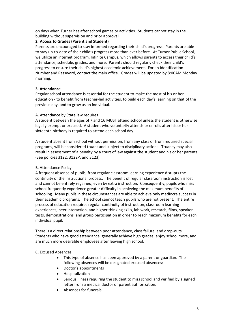on days when Turner has after school games or activities. Students cannot stay in the building without supervision and prior approval.

# **2. Access to Grades (Parent and Student)**

Parents are encouraged to stay informed regarding their child's progress. Parents are able to stay up-to-date of their child's progress more than ever before. At Turner Public School, we utilize an internet program, Infinite Campus, which allows parents to access their child's attendance, schedule, grades, and more. Parents should regularly check their child's progress to ensure their child's highest academic achievement. For an Identification Number and Password, contact the main office. Grades will be updated by 8:00AM Monday morning.

#### **3. Attendance**

Regular school attendance is essential for the student to make the most of his or her education - to benefit from teacher-led activities, to build each day's learning on that of the previous day, and to grow as an individual.

#### A. Attendance by State law requires

A student between the ages of 7 and 16 MUST attend school unless the student is otherwise legally exempt or excused. A student who voluntarily attends or enrolls after his or her sixteenth birthday is required to attend each school day.

A student absent from school without permission, from any class or from required special programs, will be considered truant and subject to disciplinary actions. Truancy may also result in assessment of a penalty by a court of law against the student and his or her parents (See policies 3122, 3122P, and 3123).

#### B. Attendance Policy

A frequent absence of pupils, from regular classroom learning experience disrupts the continuity of the instructional process. The benefit of regular classroom instruction is lost and cannot be entirely regained, even by extra instruction. Consequently, pupils who miss school frequently experience greater difficulty in achieving the maximum benefits of schooling. Many pupils in these circumstances are able to achieve only mediocre success in their academic programs. The school cannot teach pupils who are not present. The entire process of education requires regular continuity of instruction, classroom learning experiences, peer interaction, and higher thinking skills, lab work, research, films, speaker tests, demonstrations, and group participation in order to reach maximum benefits for each individual pupil.

There is a direct relationship between poor attendance, class failure, and drop-outs. Students who have good attendance, generally achieve high grades, enjoy school more, and are much more desirable employees after leaving high school.

#### C. Excused Absences

- This type of absence has been approved by a parent or guardian. The following absences will be designated excused absences:
- Doctor's appointments
- Hospitalization
- Serious illness requiring the student to miss school and verified by a signed letter from a medical doctor or parent authorization.
- Absences for funerals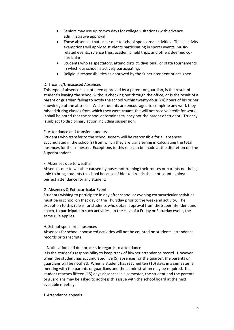- Seniors may use up to two days for college visitations (with advance administrative approval)
- Those absences that occur due to school-sponsored activities. These activity exemptions will apply to students participating in sports events, musicrelated events, science trips, academic field trips, and others deemed cocurricular.
- Students who as spectators, attend district, divisional, or state tournaments in which our school is actively participating.
- Religious responsibilities as approved by the Superintendent or designee.

#### D. Truancy/Unexcused Absences

This type of absence has not been approved by a parent or guardian, is the result of student's leaving the school without checking out through the office, or is the result of a parent or guardian failing to notify the school within twenty-four (24) hours of his or her knowledge of the absence. While students are encouraged to complete any work they missed during classes from which they were truant, the will not receive credit for work. It shall be noted that the school determines truancy not the parent or student. Truancy is subject to disciplinary action including suspension.

#### E. Attendance and transfer students

Students who transfer to the school system will be responsible for all absences accumulated in the school(s) from which they are transferring in calculating the total absences for the semester. Exceptions to this rule can be made at the discretion of the Superintendent.

#### F. Absences due to weather

Absences due to weather caused by buses not running their routes or parents not being able to bring students to school because of blocked roads shall not count against perfect attendance for any student.

#### G. Absences & Extracurricular Events

Students wishing to participate in any after school or evening extracurricular activities must be in school on that day or the Thursday prior to the weekend activity. The exception to this rule is for students who obtain approval from the Superintendent and coach, to participate in such activities. In the case of a Friday or Saturday event, the same rule applies.

#### H. School-sponsored absences

Absences for school-sponsored activities will not be counted on students' attendance records or transcripts.

#### I. Notification and due process in regards to attendance

It is the student's responsibility to keep track of his/her attendance record. However, when the student has accumulated five (5) absences for the quarter, the parents or guardians will be notified. When a student has reached ten (10) days in a semester, a meeting with the parents or guardians and the administration may be required. If a student reaches fifteen (15) days absences in a semester, the student and the parents or guardians may be asked to address this issue with the school board at the next available meeting.

#### J. Attendance appeals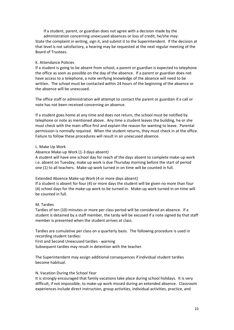If a student, parent, or guardian does not agree with a decision made by the administration concerning unexcused absences or loss of credit, he/she may: State the complaint in writing, sign it, and submit it to the Superintendent. If the decision at that level is not satisfactory, a hearing may be requested at the next regular meeting of the Board of Trustees.

#### K. Attendance Policies

If a student is going to be absent from school, a parent or guardian is expected to telephone the office as soon as possible on the day of the absence. If a parent or guardian does not have access to a telephone, a note verifying knowledge of the absence will need to be written. The school must be contacted within 24 hours of the beginning of the absence or the absence will be unexcused.

The office staff or administration will attempt to contact the parent or guardian if a call or note has not been received concerning an absence.

If a student goes home at any time and does not return, the school must be notified by telephone or note as mentioned above. Any time a student leaves the building, he or she must check with the main office first and explain the reason for wanting to leave. Parental permission is normally required. When the student returns, they must check in at the office. Failure to follow these procedures will result in an unexcused absence.

#### L. Make Up Work

#### Absence Make-up Work (1-3 days absent)

A student will have one school day for reach of the days absent to complete make-up work i.e. absent on Tuesday, make up work is due Thursday morning before the start of period one (1) to all teachers. Make-up work turned in on time will be counted in full.

#### Extended Absence Make-up Work (4 or more days absent)

If a student is absent for four (4) or more days the student will be given no more than four (4) school days for the make-up work to be turned in. Make-up work turned in on time will be counted in full.

#### M. Tardies

Tardies of ten (10) minutes or more per class period will be considered an absence. If a student is detained by a staff member, the tardy will be excused if a note signed by that staff member is presented when the student arrives at class.

Tardies are cumulative per class on a quarterly basis. The following procedure is used in recording student tardies:

First and Second Unexcused tardies - warning

Subsequent tardies may result in detention with the teacher.

The Superintendent may assign additional consequences if individual student tardies become habitual.

#### N. Vacation During the School Year

It is strongly encouraged that family vacations take place during school holidays. It is very difficult, if not impossible, to make-up work missed during an extended absence. Classroom experiences include direct instruction, group activities, individual activities, practice, and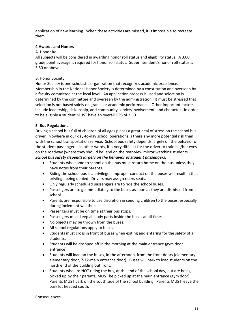application of new learning. When these activities are missed, it is impossible to recreate them.

#### **4.Awards and Honors**

#### A. Honor Roll

All subjects will be considered in awarding honor roll status and eligibility status. A 3.00 grade point average is required for honor roll status. Superintendent's honor roll status is 3.50 or above.

#### B. Honor Society

Honor Society is one scholastic organization that recognizes academic excellence. Membership in the National Honor Society is determined by a constitution and overseen by a faculty committee at the local level. An application process is used and selection is determined by the committee and overseen by the administration. It must be stressed that selection is not based solely on grades or academic performance. Other important factors, include leadership, citizenship, and community service/involvement, and character. In order to be eligible a student MUST have an overall GPS of 3.50.

#### **5. Bus Regulations**

Driving a school bus full of children of all ages places a great deal of stress on the school bus driver. Nowhere in our day-to-day school operations is there any more potential risk than with the school transportation service. School bus safety depends largely on the behavior of the student passengers. In other words, it is very difficult for the driver to train his/her eyes on the roadway (where they should be) and on the rear-view mirror watching students. *School bus safety depends largely on the behavior of student passengers.*

- Students who come to school on the bus must return home on the bus unless they have notes from their parents.
- Riding the school bus is a privilege. Improper conduct on the buses will result in that privilege being denied. Drivers may assign riders seats.
- Only regularly scheduled passengers are to ride the school buses.
- Passengers are to go immediately to the buses as soon as they are dismissed from school.
- Parents are responsible to use discretion in sending children to the buses, especially during inclement weather.
- Passengers must be on time at their bus stops.
- Passengers must keep all body parts inside the buses at all times.
- No objects may be thrown from the buses.
- All school regulations apply to buses.
- Students must cross in front of buses when exiting and entering for the safety of all students.
- Students will be dropped off in the morning at the main entrance (gym door entrance)
- Students will load on the buses, in the afternoon, from the front doors (elementaryelementary door, 7-12-main entrance door). Buses will park to load students on the north end of the building out front.
- Students who are NOT riding the bus, at the end of the school day, but are being picked up by their parents, MUST be picked up at the main entrance (gym door). Parents MUST park on the south side of the school building. Parents MUST leave the park lot headed south.

#### Consequences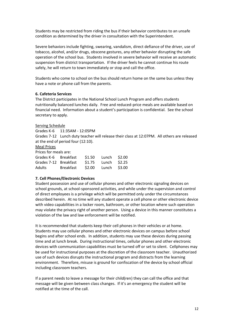Students may be restricted from riding the bus if their behavior contributes to an unsafe condition as determined by the driver in consultation with the Superintendent.

Severe behaviors include fighting, swearing, vandalism, direct defiance of the driver, use of tobacco, alcohol, and/or drugs, obscene gestures, any other behavior disrupting the safe operation of the school bus. Students involved in severe behavior will receive an automatic suspension from district transportation. If the driver feels he cannot continue his route safely, he will return to town immediately or stop and call the office.

Students who come to school on the bus should return home on the same bus unless they have a note or phone call from the parents.

#### **6. Cafeteria Services**

The District participates in the National School Lunch Program and offers students nutritionally balanced lunches daily. Free and reduced-price meals are available based on financial need. Information about a student's participation is confidential. See the school secretary to apply.

#### Serving Schedule

Grades K-6 11:35AM - 12:05PM

Grades 7-12 Lunch duty teacher will release their class at 12:07PM. All others are released at the end of period four (12:10).

#### Meal Prices

Prices for meals are:

| Grades K-6 Breakfast  |           | \$1.50 Lunch \$2.00 |               |
|-----------------------|-----------|---------------------|---------------|
| Grades 7-12 Breakfast |           | \$1.75 Lunch \$2.25 |               |
| Adults                | Breakfast | \$2.00              | Lunch $$3.00$ |

#### **7. Cell Phones/Electronic Devices**

Student possession and use of cellular phones and other electronic signaling devices on school grounds, at school-sponsored activities, and while under the supervision and control of direct employees is a privilege which will be permitted only under the circumstances described herein. At no time will any student operate a cell phone or other electronic device with video capabilities in a locker room, bathroom, or other location where such operation may violate the privacy right of another person. Using a device in this manner constitutes a violation of the law and law enforcement will be notified.

It is recommended that students keep their cell phones in their vehicles or at home. Students may use cellular phones and other electronic devices on campus before school begins and after school ends. In addition, students may use these devices during passing time and at lunch break. During instructional times, cellular phones and other electronic devices with communication capabilities must be turned off or set to silent. Cellphones may be used for instructional purposes at the discretion of the classroom teacher. Unauthorized use of such devices disrupts the instructional program and distracts from the learning environment. Therefore, misuse is ground for confiscation of the device by school official including classroom teachers.

If a parent needs to leave a message for their child(ren) they can call the office and that message will be given between class changes. If it's an emergency the student will be notified at the time of the call.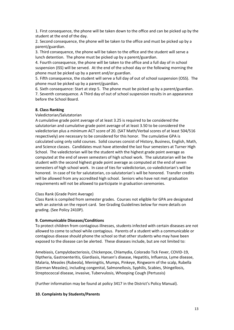1. First consequence, the phone will be taken down to the office and can be picked up by the student at the end of the day.

2. Second consequence, the phone will be taken to the office and must be picked up by a parent/guardian.

3. Third consequence, the phone will be taken to the office and the student will serve a lunch detention. The phone must be picked up by a parent/guardian.

4. Fourth consequence, the phone will be taken to the office and a full day of in school suspension (ISS) will be served. At the end of the school day or the following morning the phone must be picked up by a parent and/or guardian.

5. Fifth consequence, the student will serve a full day of out of school suspension (OSS). The phone must be picked up by a parent/guardian.

6. Sixth consequence: Start at step 5. The phone must be picked up by a parent/guardian.

7. Seventh consequence. A Third day of out of school suspension results in an appearance before the School Board.

#### **8. Class Ranking**

Valedictorian/Salutatorian

A cumulative grade point average of at least 3.25 is required to be considered the salutatorian and cumulative grade point average of at least 3.50 to be considered the valedictorian plus a minimum ACT score of 20. (SAT Math/Verbal scores of at least 504/516 respectively) are necessary to be considered for this honor. The cumulative GPA is calculated using only solid courses. Solid courses consist of History, Business, English, Math, and Science classes. Candidates must have attended the last four semesters at Turner High School. The valedictorian will be the student with the highest grade point average as computed at the end of seven semesters of high school work. The salutatorian will be the student with the second highest grade point average as computed at the end of seven semesters of high school work. In case of ties for valedictorian, co-valedictorian's will be honored. In case of tie for salutatorian, co-salutatorian's will be honored. Transfer credits will be allowed from any accredited high school. Seniors who have not met graduation requirements will not be allowed to participate in graduation ceremonies.

#### Class Rank (Grade Point Average)

Class Rank is compiled from semester grades. Courses not eligible for GPA are designated with an asterisk on the report card. See Grading Guidelines below for more details on grading. (See Policy 2410P).

#### **9. Communicable Diseases/Conditions**

To protect children from contagious illnesses, students infected with certain diseases are not allowed to come to school while contagious. Parents of a student with a communicable or contagious disease should phone the school so that other students who may have been exposed to the disease can be alerted. These diseases include, but are not limited to:

Amebiasis, Campylobacteriosis, Chickenpox, Chlamydia, Colorado Tick Fever, COVID-19, Diptheria, Gastroenteritis, Giardiasis, Hansen's disease, Hepatitis, Influenza, Lyme disease, Malaria, Measles (Rubeola), Meningitis, Mumps, Pinkeye, Ringworm of the scalp, Rubella (German Measles), including congenital, Salmonellosis, Syphilis, Scabies, Shingellosis, Streptococcal disease, invasive, Tubervulosis, Whooping Cough (Pertussis)

(Further information may be found at policy 3417 in the District's Policy Manual).

#### **10. Complaints by Students/Parents**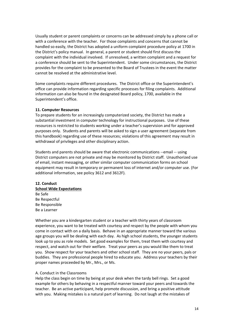Usually student or parent complaints or concerns can be addressed simply by a phone call or with a conference with the teacher. For those complaints and concerns that cannot be handled so easily, the District has adopted a uniform complaint procedure policy at 1700 in the District's policy manual. In general, a parent or student should first discuss the complaint with the individual involved. If unresolved, a written complaint and a request for a conference should be sent to the Superintendent. Under some circumstances, the District provides for the complaint to be presented to the Board of Trustees in the event the matter cannot be resolved at the administrative level.

Some complaints require different procedures. The District office or the Superintendent's office can provide information regarding specific processes for filing complaints. Additional information can also be found in the designated Board policy, 1700, available in the Superintendent's office.

#### **11. Computer Resources**

To prepare students for an increasingly computerized society, the District has made a substantial investment in computer technology for instructional purposes. Use of these resources is restricted to students working under a teacher's supervision and for approved purposes only. Students and parents will be asked to sign a user agreement (separate from this handbook) regarding use of these resources; violations of this agreement may result in withdrawal of privileges and other disciplinary action.

Students and parents should be aware that electronic communications --email -- using District computers are not private and may be monitored by District staff. Unauthorized use of email, instant messaging, or other similar computer communication forms on school equipment may result in temporary or permanent loss of internet and/or computer use. (For additional information, see policy 3612 and 3612F).

# **12. Conduct School Wide Expectations** Be Safe Be Respectful Be Responsible Be a Learner

Whether you are a kindergarten student or a teacher with thirty years of classroom experience, you want to be treated with courtesy and respect by the people with whom you come in contact with on a daily basis. Behave in an appropriate manner toward the various age groups you will be dealing with each day. As high school students, the younger students look up to you as role models. Set good examples for them, treat them with courtesy and respect, and watch out for their welfare. Treat your peers as you would like them to treat you. Show respect for your teachers and other school staff. They are no your peers, pals or buddies. They are professional people hired to educate you. Address your teachers by their proper names proceeded by Mr., Mrs., or Ms.

#### A. Conduct in the Classrooms

Help the class begin on time by being at your desk when the tardy bell rings. Set a good example for others by behaving in a respectful manner toward your peers and towards the teacher. Be an active participant, help promote discussion, and bring a positive attitude with you. Making mistakes is a natural part of learning. Do not laugh at the mistakes of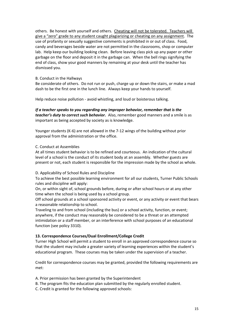others. Be honest with yourself and others. Cheating will not be tolerated. Teachers will give a "zero" grade to any student caught plagiarizing or cheating on any assignment. The use of profanity or sexually suggestive comments is prohibited in or out of class. Food, candy and beverages beside water are not permitted in the classrooms, shop or computer lab. Help keep our building looking clean. Before leaving class pick up any paper or other garbage on the floor and deposit it in the garbage can. When the bell rings signifying the end of class, show your good manners by remaining at your desk until the teacher has dismissed you.

#### B. Conduct in the Hallways

Be considerate of others. Do not run or push, charge up or down the stairs, or make a mad dash to be the first one in the lunch line. Always keep your hands to yourself.

Help reduce noise pollution - avoid whistling, and loud or boisterous talking.

# *If a teacher speaks to you regarding any improper behavior, remember that is the teacher's duty to correct such behavior.* Also, remember good manners and a smile is as important as being accepted by society as is knowledge.

Younger students (K-6) are not allowed in the 7-12 wings of the building without prior approval from the administration or the office.

#### C. Conduct at Assemblies

At all times student behavior is to be refined and courteous. An indication of the cultural level of a school is the conduct of its student body at an assembly. Whether guests are present or not, each student is responsible for the impression made by the school as whole.

#### D. Applicability of School Rules and Discipline

To achieve the best possible learning environment for all our students, Turner Public Schools rules and discipline will apply:

On, or within sight of, school grounds before, during or after school hours or at any other time when the school is being used by a school group.

Off school grounds at a school sponsored activity or event, or any activity or event that bears a reasonable relationship to school.

Traveling to and from school (including the bus) or a school activity, function, or event; anywhere, if the conduct may reasonably be considered to be a threat or an attempted intimidation or a staff member, or an interference with school purposes of an educational function (see policy 3310).

#### **13. Correspondence Courses/Dual Enrollment/College Credit**

Turner High School will permit a student to enroll in an approved correspondence course so that the student may include a greater variety of learning experiences within the student's educational program. These courses may be taken under the supervision of a teacher.

Credit for correspondence courses may be granted, provided the following requirements are met:

- A. Prior permission has been granted by the Superintendent
- B. The program fits the education plan submitted by the regularly enrolled student.
- C. Credit is granted for the following approved schools: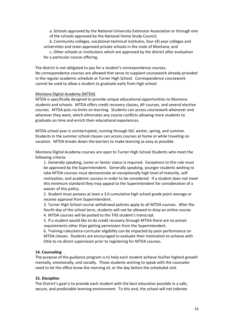a. Schools approved by the National University Extension Association or through one of the schools approved by the National Home Study Council;

b. Community colleges, vocational-technical institutes, four-(4) year colleges and universities and state-approved private schools in the state of Montana; and

c. Other schools or institutions which are approved by the district after evaluation for a particular course offering.

The district is not obligated to pay for a student's correspondence courses. No correspondence courses are allowed that serve to supplant coursework already provided in the regular academic schedule at Turner High School. Correspondence coursework cannot be used to allow a student to graduate early from high school.

#### Montana Digital Academy (MTDA)

MTDA is specifically designed to provide unique educational opportunities to Montana students and schools. MTDA offers credit recovery classes, AP courses, and several elective courses. MTDA puts no limits on learning. Students can access coursework whenever and wherever they want, which eliminates any course conflicts allowing more students to graduate on time and enrich their educational experiences.

MTDA school year is uninterrupted, running through fall, winter, spring, and summer. Students in the summer school classes can access courses at home or while traveling on vacation. MTDA breaks down the barriers to make learning as easy as possible.

Montana Digital Academy courses are open to Turner High School Students who meet the following criteria:

1. Generally speaking, Junior or Senior status is required. Exceptions to this rule must be approved by the Superintendent. Generally speaking, younger students wishing to take MTDA courses must demonstrate an exceptionally high level of maturity, selfmotivation, and academic success in order to be considered. If a student does not meet this minimum standard they may appeal to the Superintendent for consideration of a waiver of this policy.

2. Student must possess at least a 3.0 cumulative high school grade point average or receive approval from Superintendent.

3. Turner High School course withdrawal policies apply to all MTDA courses. After the fourth day of the school term, students will not be allowed to drop an online course.

4. MTDA courses will be posted to the THS student's transcript.

5. If a student would like to do credit recovery through MTDA there are no preset requirements other than getting permission from the Superintendent.

6. Training rules/extra-curricular eligibility can be impacted by poor performance on MTDA classes. Students are encouraged to evaluate their motivation to achieve with little to no direct supervision prior to registering for MTDA courses.

#### **14. Counseling**

The purpose of the guidance program is to help each student achieve his/her highest growth mentally, emotionally, and socially. Those students wishing to speak with the counselor need to let the office know the morning of, or the day before the scheduled visit.

#### **15. Discipline**

The District's goal is to provide each student with the best education possible in a safe, secure, and predictable learning environment. To this end, the school will not tolerate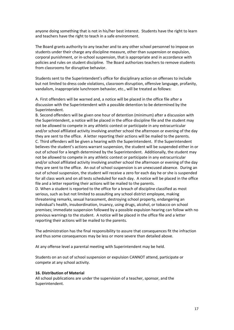anyone doing something that is not in his/her best interest. Students have the right to learn and teachers have the right to teach in a safe environment.

The Board grants authority to any teacher and to any other school personnel to impose on students under their charge any discipline measure, other than suspension or expulsion, corporal punishment, or in-school suspension, that is appropriate and in accordance with policies and rules on student discipline. The Board authorizes teachers to remove students from classrooms for disruptive behavior.

Students sent to the Superintendent's office for disciplinary action on offenses to include but not limited to dress code violations, classroom disruption, offensive language, profanity, vandalism, inappropriate lunchroom behavior, etc., will be treated as follows:

A. First offenders will be warned and, a notice will be placed in the office file after a discussion with the Superintendent with a possible detention to be determined by the Superintendent.

B. Second offenders will be given one hour of detention (minimum) after a discussion with the Superintendent, a notice will be placed in the office discipline file and the student may not be allowed to compete in any athletic contest or participate in any extracurricular and/or school affiliated activity involving another school the afternoon or evening of the day they are sent to the office. A letter reporting their actions will be mailed to the parents. C. Third offenders will be given a hearing with the Superintendent. If the Superintendent believes the student's actions warrant suspension, the student will be suspended either in or out of school for a length determined by the Superintendent. Additionally, the student may not be allowed to compete in any athletic contest or participate in any extracurricular and/or school affiliated activity involving another school the afternoon or evening of the day they are sent to the office. An out of school suspension is an unexcused absence. During an out of school suspension, the student will receive a zero for each day he or she is suspended for all class work and on all tests scheduled for each day. A notice will be placed in the office file and a letter reporting their actions will be mailed to the parents.

D. When a student is reported to the office for a breach of discipline classified as most serious, such as but not limited to assaulting any school district employee, making threatening remarks, sexual harassment, destroying school property, endangering an individual's health, insubordination, truancy, using drugs, alcohol, or tobacco on school premises; immediate suspension followed by a possible expulsion hearing can follow with no previous warnings to the student. A notice will be placed in the office file and a letter reporting their actions will be mailed to the parents.

The administration has the final responsibility to assure that consequences fit the infraction and thus some consequences may be less or more severe than detailed above.

At any offense level a parental meeting with Superintendent may be held.

Students on an out of school suspension or expulsion CANNOT attend, participate or compete at any school activity.

#### **16. Distribution of Material**

All school publications are under the supervision of a teacher, sponsor, and the Superintendent.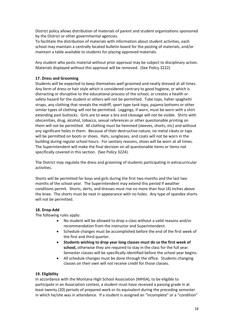District policy allows distribution of materials of parent and student organizations sponsored by the District or other governmental agencies.

To facilitate the distribution of materials with information about student activities, each school may maintain a centrally located bulletin board for the posting of materials, and/or maintain a table available to students for placing approved materials.

Any student who posts material without prior approval may be subject to disciplinary action. Materials displayed without this approval will be removed. (See Policy 3222)

#### **17. Dress and Grooming**

Students will be expected to keep themselves well-groomed and neatly dressed at all times. Any form of dress or hair style which is considered contrary to good hygiene, or which is distracting or disruptive to the educational process of the school, or creates a health or safety hazard for the student or others will not be permitted. Tube tops, halter spaghetti straps, any clothing that reveals the midriff, sport type tank tops, pajama bottoms or other similar types of clothing will not be permitted. Leggings, if worn, must be worn with a shirt extending past buttocks. Girls are to wear a bra and cleavage will not be visible. Shirts with obscenities, drug, alcohol, tobacco, sexual references or other questionable printing on them will not be permitted. All clothing must be hemmed (sleeves, shorts, etc) and without any significant holes in them. Because of their destructive nature, no metal cleats or taps will be permitted on boots or shoes. Hats, sunglasses, and coats will not be worn in the building during regular school hours. For sanitary reasons, shoes will be worn at all times. The Superintendent will make the final decision on all questionable items or items not specifically covered in this section. (See Policy 3224).

The District may regulate the dress and grooming of students participating in extracurricular activities.

Shorts will be permitted for boys and girls during the first two months and the last two months of the school year. The Superintendent may extend this period if weather conditions permit. Shorts, skirts, and dresses must rise no more than four (4) inches above the knee. The shorts must be neat in appearance with no holes. Any type of spandex shorts will not be permitted.

#### **18. Drop-Add**

The following rules apply:

- No student will be allowed to drop a class without a valid reasons and/or recommendation from the instructor and Superintendent.
- Schedule changes must be accomplished before the end of the first week of the first and third quarter.
- **Students wishing to drop year long classes must do so the first week of school,** otherwise they are required to stay in the class for the full year. Semester classes will be specifically identified before the school year begins.
- All schedule changes must be done through the office. Students changing classes on their own will not receive credit for those classes.

#### **19. Eligibility**

In accordance with the Montana High School Association (MHSA), to be eligible to participate in an Association contest, a student must have received a passing grade in at least twenty (20) periods of prepared work or its equivalent during the preceding semester in which he/she was in attendance. If a student is assigned an "incomplete" or a "condition"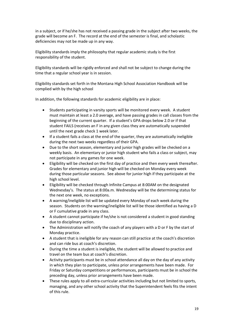in a subject, or if he/she has not received a passing grade in the subject after two weeks, the grade will become an F. The record at the end of the semester is final, and scholastic deficiencies may not be made up in any way.

Eligibility standards imply the philosophy that regular academic study is the first responsibility of the student.

Eligibility standards will be rigidly enforced and shall not be subject to change during the time that a regular school year is in session.

Eligibility standards set forth in the Montana High School Association Handbook will be complied with by the high school

In addition, the following standards for academic eligibility are in place:

- Students participating in varsity sports will be monitored every week. A student must maintain at least a 2.0 average, and have passing grades in call classes from the beginning of the current quarter. If a student's GPA drops below 2.0 or if that student FAILS (receives an F in any given class they are automatically suspended until the next grade check 1 week later.
- If a student fails a class at the end of the quarter, they are automatically ineligible during the next two weeks regardless of their GPA.
- Due to the short season, elementary and junior high grades will be checked on a weekly basis. An elementary or junior high student who fails a class or subject, may not participate in any games for one week.
- Eligibility will be checked on the first day of practice and then every week thereafter. Grades for elementary and junior high will be checked on Monday every week during those particular seasons. See above for junior high if they participate at the high school level.
- Eligibility will be checked through Infinite Campus at 8:00AM on the designated Wednesday's. The status at 8:00a.m. Wednesday will be the determining status for the next one week, no exceptions.
- A warning/ineligible list will be updated every Monday of each week during the season. Students on the warning/ineligible list will be those identified as having a D or F cumulative grade in any class.
- A student cannot participate if he/she is not considered a student in good standing due to disciplinary action.
- The Administration will notify the coach of any players with a D or F by the start of Monday practice.
- A student that is ineligible for any reason can still practice at the coach's discretion and can ride bus at coach's discretion.
- During the time a student is ineligible, the student will be allowed to practice and travel on the team bus at coach's discretion.
- Activity participants must be in school attendance all day on the day of any activity in which they plan to participate, unless prior arrangements have been made. For Friday or Saturday competitions or performances, participants must be in school the preceding day, unless prior arrangements have been made.
- These rules apply to all extra-curricular activities including but not limited to sports, managing, and any other school activity that the Superintendent feels fits the intent of this rule.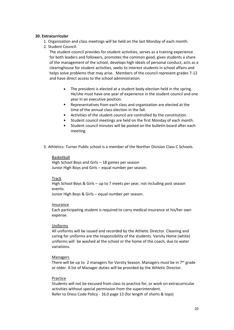#### **20. Extracurricular**

- 1. Organization and class meetings will be held on the last Monday of each month.
- 2. Student Council:

The student council provides for student activities, serves as a training experience for both leaders and followers, promotes the common good, gives students a share of the management of the school, develops high ideals of personal conduct, acts as a clearinghouse for student activities, seeks to interest students in school affairs and helps solve problems that may arise. Members of the council represent grades 7-12 and have direct access to the school administration.

- The president is elected at a student body election held in the spring. He/she must have one year of experience in the student council and one year in an executive position.
- Representatives from each class and organization are elected at the time of the annual class election in the fall.
- Activities of the student council are controlled by the constitution.
- Student council meetings are held on the first Monday of each month.
- Student council minutes will be posted on the bulletin board after each meeting.
- 3. Athletics: Turner Public school is a member of the Norther Division Class C Schools.

#### Basketball

High School Boys and Girls – 18 games per season Junior High Boys and Girls – equal number per season.

#### Track

High School Boys & Girls – up to 7 meets per year, not including post season events.

Junior High Boys & Girls – equal number per season.

#### Insurance

Each participating student is required to carry medical insurance at his/her own expense.

#### Uniforms

All uniforms will be issued and recorded by the Athletic Director. Cleaning and caring for uniforms are the responsibility of the students. Varsity Home (white) uniforms will be washed at the school or the home of the coach, due to water variations.

#### Managers

There will be up to 2 managers for Varsity Season. Managers must be in  $7<sup>th</sup>$  grade or older. A list of Manager duties will be provided by the Athletic Director.

#### Practice

Students will not be excused from class to practice for, or work on extracurricular activities without special permission from the superintendent. Refer to Dress Code Policy - 16.0 page 13 (for length of shorts & tops)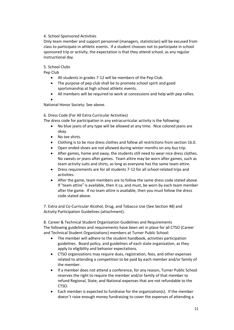# 4. School Sponsored Activities

Only team member and support personnel (managers, statistician) will be excused from class to participate in athletic events. If a student chooses not to participate in school sponsored trip or activity, the expectation is that they attend school, as any regular instructional day.

5. School Clubs

Pep Club

- All students in grades 7-12 will be members of the Pep Club.
- The purpose of pep club shall be to promote school spirit and good sportsmanship at high school athletic events.
- All members will be required to work at concessions and help with pep rallies.

•

National Honor Society: See above.

6. Dress Code (For All Extra Curricular Activities)

The dress code for participation in any extracurricular activity is the following:

- No blue jeans of any type will be allowed at any time. Nice colored jeans are okay.
- No tee shirts.
- Clothing is to be nice dress clothes and follow all restrictions from section 16.0.
- Open ended shoes are not allowed during winter months on any bus trip.
- After games, home and away, the students still need to wear nice dress clothes. No sweats or jeans after games. Team attire may be worn after games, such as team activity suits and shirts, as long as everyone has the same team attire.
- Dress requirements are for all students 7-12 for all school-related trips and activities.
- After the game, team members are to follow the same dress code stated above. If "team attire" is available, then it ca, and must, be worn by each team member after the game. If no team attire is available, then you must follow the dress code stated above.

7. Extra and Co-Curricular Alcohol, Drug, and Tobacco Use (See Section 48) and Activity Participation Guidelines (attachment).

8. Career & Technical Student Organization Guidelines and Requirements The following guidelines and requirements have been set in place for all CTSO (Career and Technical Student Organizations) members at Turner Public School:

- The member will adhere to the student handbook, activities participation guidelines. Board policy, and guidelines of each state organization, as they apply to eligibility and behavior expectations.
- CTSO organizations may require dues, registration, fees, and other expenses related to attending a competition to be paid by each member and/or family of the member.
- If a member does not attend a conference, for any reason, Turner Public School reserves the right to require the member and/or family of that member to refund Regional, State, and National expenses that are not refundable to the CTSO.
- Each member is expected to fundraise for the organization(s). If the member doesn't raise enough money fundraising to cover the expenses of attending a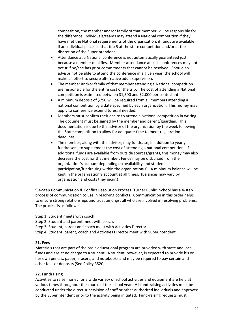competition, the member and/or family of that member will be responsible for the difference. Individuals/teams may attend a National competition if they have met the National requirements of the organization, if funds are available, if an individual places in that top 5 at the state competition and/or at the discretion of the Superintendent.

- Attendance at a National conference is not automatically guaranteed just because a member qualifies. Member attendance at such conferences may not occur if he/she has prior commitments that cannot be resolved. Should an advisor not be able to attend the conference in a given year, the school will make an effort to secure alternative adult supervision.
- The member and/or family of that member attending a National competition are responsible for the entire cost of the trip. The cost of attending a National competition is estimated between \$1,500 and \$2,000 per contestant.
- A minimum deposit of \$750 will be required from all members attending a national competition by a date specified by each organization. This money may apply to conference expenditures, if needed.
- Members must confirm their desire to attend a National competition in writing. The document must be signed by the member and parent/guardian. This documentation is due to the advisor of the organization by the week following the State competition to allow for adequate time to meet registration deadlines.
- The member, along with the advisor, may fundraise, in addition to yearly fundraisers, to supplement the cost of attending a national competition. If additional funds are available from outside sources/grants, this money may also decrease the cost for that member. Funds may be disbursed from the organization's account depending on availability and student participation/fundraising within the organization(s). A minimum balance will be kept in the organization's account at all times. (Balances may vary by organization and costs they incur.)

9.4-Step Communication & Conflict Resolution Process**:** Turner Public School has a 4-step process of communication to use in resolving conflicts. Communication in this order helps to ensure strong relationships and trust amongst all who are involved in resolving problems. The process is as follows:

Step 1: Student meets with coach.

Step 2: Student and parent meet with coach.

Step 3: Student, parent and coach meet with Activities Director.

Step 4: Student, parent, coach and Activities Director meet with Superintendent.

#### **21. Fees**

Materials that are part of the basic educational program are provided with state and local funds and are at no charge to a student. A student, however, is expected to provide his or her own pencils, paper, erasers, and notebooks and may be required to pay certain and other fees or deposits (See Policy 3520).

#### **22. Fundraising**

Activities to raise money for a wide variety of school activities and equipment are held at various times throughout the course of the school year. All fund-raising activities must be conducted under the direct supervision of staff or other authorized individuals and approved by the Superintendent prior to the activity being initiated. Fund-raising requests must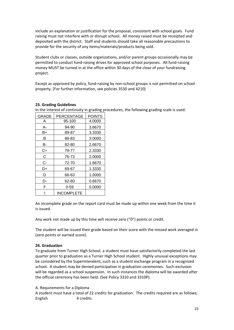include an explanation or justification for the proposal, consistent with school goals. Fund raising must not interfere with or disrupt school. All money raised must be receipted and deposited with the district. Staff and students should take all reasonable precautions to provide for the security of any items/materials/products being sold.

Student clubs or classes, outside organizations, and/or parent groups occasionally may be permitted to conduct fund-raising drives for approved school purposes. All fund-raising money MUST be turned in at the office within 30 days of the close of your fundraising project.

Except as approved by policy, fund-raising by non-school groups is not permitted on school property. [For further information, see policies 3530 and 4210]

| $\sim$ and medication continuity in grading p |                   |               |  |
|-----------------------------------------------|-------------------|---------------|--|
| <b>GRADE</b>                                  | <b>PERCENTAGE</b> | <b>POINTS</b> |  |
| Α                                             | 95-100            | 4.0000        |  |
| А-                                            | 94-90             | 3.6670        |  |
| B+                                            | 89-87             | 3.3330        |  |
| в                                             | 86-83             | 3.0000        |  |
| в-                                            | 82-80             | 2.6670        |  |
| C+                                            | 79-77             | 2.3330        |  |
| C                                             | 76-73             | 2.0000        |  |
| C-                                            | 72-70             | 1.6670        |  |
| D+                                            | 69-67             | 1.3330        |  |
| D                                             | 66-63             | 1.0000        |  |
| D-                                            | 62-60             | 0.6670        |  |
| F                                             | $0 - 59$          | 0.0000        |  |
|                                               | <b>INCOMPLETE</b> |               |  |

#### **23. Grading Guidelines**

In the interest of continuity in grading procedures, the following grading scale is used:

An incomplete grade on the report card must be made up within one week from the time it is issued.

Any work not made up by this time will receive zero ("0") points or credit.

The student will be issued their grade based on their score with the missed work averaged in (zero points or earned score).

#### **24. Graduation**

To graduate from Turner High School, a student must have satisfactorily completed the last quarter prior to graduation as a Turner High School student. Highly unusual exceptions may be considered by the Superintendent, such as a student exchange program in a recognized school. A student may be denied participation in graduation ceremonies. Such exclusion will be regarded as a school suspension. In such instances the diploma will be awarded after the official ceremony has been held. (See Policy 3310 and 3310P).

A. Requirements for a Diploma

A student must have a total of 22 credits for graduation. The credits required are as follows; English 4 credits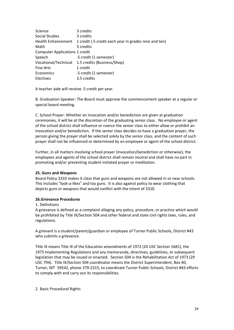| Science                               | 3 credits                                             |
|---------------------------------------|-------------------------------------------------------|
| Social Studies                        | 3 credits                                             |
| <b>Health Enhancement</b>             | 1 credit (.5 credit each year in grades nine and ten) |
| Math                                  | 3 credits                                             |
| <b>Computer Applications 1 credit</b> |                                                       |
| Speech                                | .5 credit (1 semester)                                |
|                                       | Vocational/Technical 1.5 credits (Business/Shop)      |
| <b>Fine Arts</b>                      | 1 credit                                              |
| Economics                             | .5 credit (1 semester)                                |
| <b>Electives</b>                      | 3.5 credits                                           |

A teacher aide will receive .5 credit per year.

B. Graduation Speaker: The Board must approve the commencement speaker at a regular or special board meeting.

C. School Prayer: Whether an invocation and/or benediction are given at graduation ceremonies, it will be at the discretion of the graduating senior class. No employee or agent of the school district shall influence or coerce the senior class to either allow or prohibit an invocation and/or benediction. If the senior class decides to have a graduation prayer, the person giving the prayer shall be selected solely by the senior class, and the content of such prayer shall not be influenced or determined by an employee or agent of the school district.

Further, in all matters involving school prayer (invocation/benediction or otherwise), the employees and agents of the school district shall remain neutral and shall have no part in promoting and/or preventing student initiated prayer or meditation.

#### **25. Guns and Weapons**

Board Policy 3310 makes it clear that guns and weapons are not allowed in or near schools. This includes "look-a-likes" and toy guns. It is also against policy to wear clothing that depicts guns or weapons that would conflict with the intent of 3310.

# **26.Grievance Procedures**

#### 1. Definitions

A grievance is defined as a complaint alleging any policy, procedure, or practice which would be prohibited by Title IX/Section 504 and other federal and state civil rights laws, rules, and regulations.

A grievant is a student/parent/guardian or employee of Turner Public Schools, District #43 who submits a grievance.

Title IX means Title IX of the Education amendments of 1972 (20 USC Section 1681), the 1975 Implementing Regulations and any memoranda, directives, guidelines, or subsequent legislation that may be issued or enacted. Section 504 is the Rehabilitation Act of 1973 (29 USC 794). Title IX/Section 504 coordinator means the District Superintendent, Box 40, Turner, MT 59542, phone 379-2315, to coordinate Turner Public Schools, District #43 efforts to comply with and carry out its responsibilities.

#### 2. Basic Procedural Rights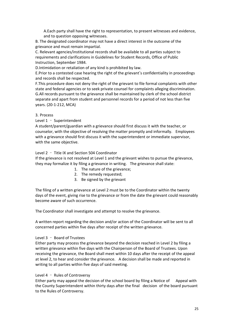A.Each party shall have the right to representation, to present witnesses and evidence, and to question opposing witnesses.

B. The designated coordinator may not have a direct interest in the outcome of the grievance and must remain impartial.

C. Relevant agencies/institutional records shall be available to all parties subject to requirements and clarifications in Guidelines for Student Records, Office of Public Instruction, September 1984.

D.Intimidation or retaliation of any kind is prohibited by law.

E.Prior to a contested case hearing the right of the grievant's confidentiality in proceedings and records shall be respected.

F.This procedure does not deny the right of the grievant to file formal complaints with other state and federal agencies or to seek private counsel for complaints alleging discrimination. G.All records pursuant to the grievance shall be maintained by clerk of the school district separate and apart from student and personnel records for a period of not less than five years. (20-1-212, MCA)

#### 3. Process

Level 1 – Superintendent

A student/parent/guardian with a grievance should first discuss it with the teacher, or counselor, with the objective of resolving the matter promptly and informally. Employees with a grievance should first discuss it with the superintendent or immediate supervisor, with the same objective.

#### Level 2 – Title IX and Section 504 Coordinator

If the grievance is not resolved at Level 1 and the grievant wishes to pursue the grievance, they may formalize it by filing a grievance in writing. The grievance shall state:

- 1. The nature of the grievance;
- 2. The remedy requested;
- 3. Be signed by the grievant

The filing of a written grievance at Level 2 must be to the Coordinator within the twenty days of the event, giving rise to the grievance or from the date the grievant could reasonably become aware of such occurrence.

The Coordinator shall investigate and attempt to resolve the grievance.

A written report regarding the decision and/or action of the Coordinator will be sent to all concerned parties within five days after receipt of the written grievance.

#### Level 3 – Board of Trustees

Either party may process the grievance beyond the decision reached in Level 2 by filing a written grievance within five days with the Chairperson of the Board of Trustees. Upon receiving the grievance, the Board shall meet within 10 days after the receipt of the appeal at level 2, to hear and consider the grievance. A decision shall be made and reported in writing to all parties within five days of said meeting.

#### Level 4 – Rules of Controversy

Either party may appeal the decision of the school board by filing a Notice of Appeal with the County Superintendent within thirty days after the final decision of the board pursuant to the Rules of Controversy.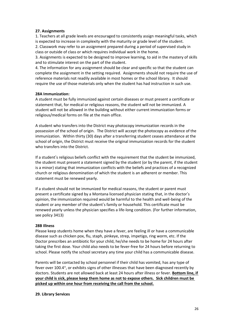#### **27. Assignments**

1. Teachers at all grade levels are encouraged to consistently assign meaningful tasks, which is expected to increase in complexity with the maturity or grade level of the student.

2. Classwork may refer to an assignment prepared during a period of supervised study in class or outside of class or which requires individual work in the home.

3. Assignments is expected to be designed to improve learning, to aid in the mastery of skills and to stimulate interest on the part of the student.

4. The information for any assignment should be clear and specific so that the student can complete the assignment in the setting required. Assignments should not require the use of reference materials not readily available in most homes or the school library. It should require the use of those materials only when the student has had instruction in such use.

#### **28A Immunization:**

A student must be fully immunized against certain diseases or must present a certificate or statement that, for medical or religious reasons, the student will not be immunized. A student will not be allowed in the building without either current immunization forms or religious/medical forms on file at the main office.

A student who transfers into the District may photocopy immunization records in the possession of the school of origin. The District will accept the photocopy as evidence of the immunization. Within thirty (30) days after a transferring student ceases attendance at the school of origin, the District must receive the original immunization records for the student who transfers into the District.

If a student's religious beliefs conflict with the requirement that the student be immunized, the student must present a statement signed by the student (or by the parent, if the student is a minor) stating that immunization conflicts with the beliefs and practices of a recognized church or religious denomination of which the student is an adherent or member. This statement must be renewed yearly.

If a student should not be immunized for medical reasons, the student or parent must present a certificate signed by a Montana licensed physician stating that, in the doctor's opinion, the immunization required would be harmful to the health and well-being of the student or any member of the student's family or household. This certificate must be renewed yearly unless the physician specifies a life-long condition. (For further information, see policy 3413)

#### **28B Illness**

Please keep students home when they have a fever, are feeling ill or have a communicable disease such as chicken pox, flu, staph, pinkeye, strep, impetigo, ring worm, etc. If the Doctor prescribes an antibiotic for your child, he/she needs to be home for 24 hours after taking the first dose. Your child also needs to be fever-free for 24 hours before returning to school. Please notify the school secretary any time your child has a communicable disease.

Parents will be contacted by school personnel if their child has vomited, has any type of fever over 100.4°, or exhibits signs of other illnesses that have been diagnosed recently by doctors. Students are not allowed back at least 24 hours after illness or fever. **Bottom line, if your child is sick, please keep them home as not to expose others. Sick children must be picked up within one hour from receiving the call from the school.**

#### **29. Library Services**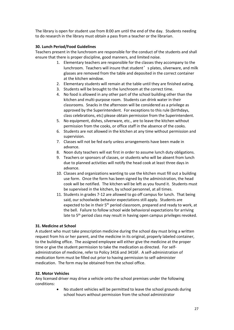The library is open for student use from 8:00 am until the end of the day. Students needing to do research in the library must obtain a pass from a teacher or the librarian.

# **30. Lunch Period/Food Guidelines**

Teachers present in the lunchroom are responsible for the conduct of the students and shall ensure that there is proper discipline, good manners, and limited noise.

- 1. Elementary teachers are responsible for the classes they accompany to the lunchroom. Teachers will insure that student' s plates, silverware, and milk glasses are removed from the table and deposited in the correct container at the kitchen window.
- 2. Elementary students will remain at the table until they are finished eating.
- 3. Students will be brought to the lunchroom at the correct time.
- 4. No food is allowed in any other part of the school building other than the kitchen and multi-purpose room. Students can drink water in their classrooms. Snacks in the afternoon will be considered as a privilege as approved by the Superintendent. For exceptions to this rule (birthdays, class celebrations, etc) please obtain permission from the Superintendent.
- 5. No equipment, dishes, silverware, etc., are to leave the kitchen without permission from the cooks, or office staff in the absence of the cooks.
- 6. Students are not allowed in the kitchen at any time without permission and supervision.
- 7. Classes will not be fed early unless arrangements have been made in advance.
- 8. Noon duty teachers will eat first in order to assume lunch duty obligations.
- 9. Teachers or sponsors of classes, or students who will be absent from lunch due to planned activities will notify the head cook at least three days in advance.
- 10. Classes and organizations wanting to use the kitchen must fill out a building use form. Once the form has been signed by the administration, the head cook will be notified. The kitchen will be left as you found it. Students must be supervised in the kitchen, by school personnel, at all times.
- 11. Students in grades 7-12 are allowed to go off campus for lunch. That being said, our schoolwide behavior expectations still apply. Students are expected to be in their 5<sup>th</sup> period classroom, prepared and ready to work, at the bell. Failure to follow school wide behavioral expectations for arriving late to 5<sup>th</sup> period class may result in having open campus privileges revoked.

# **31. Medicine at School**

A student who must take prescription medicine during the school day must bring a written request from his or her parent, and the medicine in its original, properly labeled container, to the building office. The assigned employee will either give the medicine at the proper time or give the student permission to take the medication as directed. For selfadministration of medicine, refer to Policy 3416 and 3416F. A self-administration of medication form must be filled out prior to having permission to self-administer medication. The form may be obtained from the school office.

# **32. Motor Vehicles**

Any licensed driver may drive a vehicle onto the school premises under the following conditions:

> • No student vehicles will be permitted to leave the school grounds during school hours without permission from the school administrator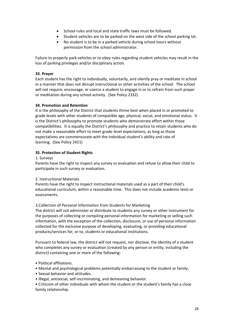- School rules and local and state traffic laws must be followed.
- Student vehicles are to be parked on the west side of the school parking lot.
- No student is to be in a parked vehicle during school hours without permission from the school administrator.

Failure to properly park vehicles or to obey rules regarding student vehicles may result in the loss of parking privileges and/or disciplinary action.

#### **33. Prayer**

Each student has the right to individually, voluntarily, and silently pray or meditate in school in a manner that does not disrupt instructional or other activities of the school. The school will not require, encourage, or coerce a student to engage in or to refrain from such prayer or meditation during any school activity. (See Policy 2332)

#### **34. Promotion and Retention**

It is the philosophy of the District that students thrive best when placed in or promoted to grade levels with other students of compatible age, physical, social, and emotional status. It is the District's philosophy to promote students who demonstrate effort within those compatibilities. It is equally the District's philosophy and practice to retain students who do not make a reasonable effort to meet grade-level expectations, as long as those expectations are commensurate with the individual student's ability and rate of learning. (See Policy 2421)

#### **35. Protection of Student Rights**

#### 1. Surveys

Parents have the right to inspect any survey or evaluation and refuse to allow their child to participate in such survey or evaluation.

#### 2. Instructional Materials

Parents have the right to inspect instructional materials used as a part of their child's educational curriculum, within a reasonable time. This does not include academic tests or assessments.

#### 3.Collection of Personal Information from Students for Marketing

The district will not administer or distribute to students any survey or other instrument for the purposes of collecting or compiling personal information for marketing or selling such information, with the exception of the collection, disclosure, or use of personal information collected for the exclusive purpose of developing, evaluating, or providing educational products/services for, or to, students or educational institutions.

Pursuant to federal law, the district will not request, nor disclose, the identity of a student who completes any survey or evaluation (created by any person or entity, including the district) containing one or more of the following:

- Political affiliations.
- Mental and psychological problems potentially embarrassing to the student or family.
- Sexual behavior and attitudes.
- Illegal, antisocial, self-incriminating, and demeaning behavior.

• Criticism of other individuals with whom the student or the student's family has a close family relationship.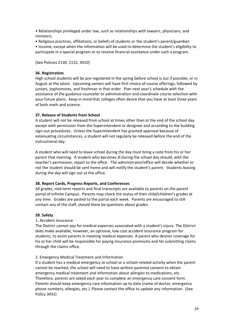• Relationships privileged under law, such as relationships with lawyers, physicians, and ministers.

• Religious practices, affiliations, or beliefs of students or the student's parent/guardian.

• Income, except when the information will be used to determine the student's eligibility to participate in a special program or to receive financial assistance under such a program.

(See Policies 2130, 2132, 3410)

# **36. Registration**

High school students will be pre-registered in the spring before school is out if possible, or in August at the latest. Upcoming seniors will have first choice of course offerings, followed by juniors, sophomores, and freshman in that order. Plan next year's schedule with the assistance of the guidance counselor or administration and coordinate course selection with your future plans. Keep in mind that colleges often desire that you have at least three years of both math and science.

#### **37. Release of Students from School**

A student will not be released from school at times other than at the end of the school day except with permission from the Superintendent or designee and according to the building sign-out procedures. Unless the Superintendent has granted approval because of extenuating circumstances, a student will not regularly be released before the end of the instructional day.

A student who will need to leave school during the day must bring a note from his or her parent that morning. A student who becomes ill during the school day should, with the teacher's permission, report to the office. The administrator/office will decide whether or not the student should be sent home and will notify the student's parent. Students leaving during the day will sign out at the office.

#### **38. Report Cards, Progress Reports, and Conferences**

All grades, mid-term reports and final transcripts are available to parents on the parent portal of Infinite Campus. Parents may check the status of their child/children's grades at any time. Grades are posted to the portal each week. Parents are encouraged to still contact any of the staff, should there be questions about grades.

#### **39. Safety**

# 1. Accident Insurance

The District cannot pay for medical expenses associated with a student's injury. The District does make available, however, an optional, low-cost accident insurance program for students, to assist parents in meeting medical expenses. A parent who desires coverage for his or her child will be responsible for paying insurance premiums and for submitting claims through the claims office.

# 2. Emergency Medical Treatment and Information

If a student has a medical emergency at school or a school-related activity when the parent cannot be reached, the school will need to have written parental consent to obtain emergency medical treatment and information about allergies to medications, etc. Therefore, parents are asked each year to complete an emergency care consent form. Parents should keep emergency care information up to date (name of doctor, emergency phone numbers, allergies, etc.). Please contact the office to update any information. (See Policy 3431)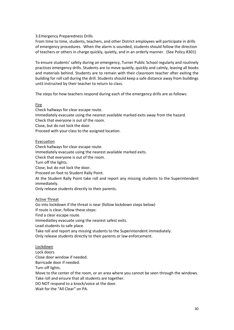#### 3.Emergency Preparedness Drills

From time to time, students, teachers, and other District employees will participate in drills of emergency procedures. When the alarm is sounded, students should follow the direction of teachers or others in charge quickly, quietly, and in an orderly manner. (See Policy 8301)

To ensure students' safety during an emergency, Turner Public School regularly and routinely practices emergency drills. Students are to move quietly, quickly and calmly, leaving all books and materials behind. Students are to remain with their classroom teacher after exiting the building for roll call during the drill. Students should keep a safe distance away from buildings until instructed by their teacher to return to class.

The steps for how teachers respond during each of the emergency drills are as follows:

#### Fire

Check hallways for clear escape route. Immediately evacuate using the nearest available marked exits away from the hazard. Check that everyone is out of the room. Close, but do not lock the door. Proceed with your class to the assigned location.

#### Evacuation

Check hallways for clear escape route. Immediately evacuate using the nearest available marked exits. Check that everyone is out of the room. Turn off the lights. Close, but do not lock the door. Proceed on foot to Student Rally Point. At the Student Rally Point take roll and report any missing students to the Superintendent immediately.

Only release students directly to their parents.

# Active Threat

Go into lockdown if the threat is near (follow lockdown steps below) If route is clear, follow these steps: Find a clear escape route. Immediatley evacuate using the nearest safest exits. Lead students to safe place. Take roll and report any missing students to the Superintendent immediately. Only release students directly to their parents or law enforcement.

# Lockdown

Lock doors. Close door window if needed.

Barricade door if needed.

Turn off lights.

Move to the center of the room, or an area where you cannot be seen through the windows. Take roll and ensure that all students are together.

DO NOT respond to a knock/voice at the door.

Wait for the "All Clear" on PA.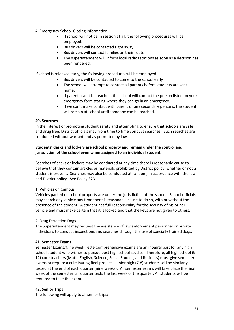#### 4. Emergency School-Closing Information

- If school will not be in session at all, the following procedures will be employed:
- Bus drivers will be contacted right away
- Bus drivers will contact families on their route
- The superintendent will inform local radios stations as soon as a decision has been rendered.

If school is released early, the following procedures will be employed:

- Bus drivers will be contacted to come to the school early
- The school will attempt to contact all parents before students are sent home.
- If parents can't be reached, the school will contact the person listed on your emergency form stating where they can go in an emergency.
- If we can't make contact with parent or any secondary persons, the student will remain at school until someone can be reached.

#### **40. Searches**

In the interest of promoting student safety and attempting to ensure that schools are safe and drug free, District officials may from time to time conduct searches. Such searches are conducted without warrant and as permitted by law.

# **Students' desks and lockers are school property and remain under the control and jurisdiction of the school even when assigned to an individual student.**

Searches of desks or lockers may be conducted at any time there is reasonable cause to believe that they contain articles or materials prohibited by District policy, whether or not a student is present. Searches may also be conducted at random, in accordance with the law and District policy. See Policy 3231.

# 1. Vehicles on Campus

Vehicles parked on school property are under the jurisdiction of the school. School officials may search any vehicle any time there is reasonable cause to do so, with or without the presence of the student. A student has full responsibility for the security of his or her vehicle and must make certain that it is locked and that the keys are not given to others.

# 2. Drug Detection Dogs

The Superintendent may request the assistance of law enforcement personnel or private individuals to conduct inspections and searches through the use of specially trained dogs.

#### **41. Semester Exams**

Semester Exams/Nine week Tests-Comprehensive exams are an integral part for any high school student who wishes to pursue post high school studies. Therefore, all high school (9- 12) core teachers (Math, English, Science, Social Studies, and Business) must give semester exams or require a culminating final project. Junior high (7-8) students will be similarly tested at the end of each quarter (nine weeks). All semester exams will take place the final week of the semester, all quarter tests the last week of the quarter. All students will be required to take the exam.

#### **42. Senior Trips**

The following will apply to all senior trips: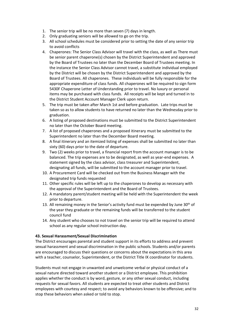- 1. The senior trip will be no more than seven (7) days in length.
- 2. Only graduating seniors will be allowed to go on the trip.
- 3. All school schedules must be considered prior to setting the date of any senior trip to avoid conflicts
- 4. Chaperones: The Senior Class Advisor will travel with the class, as well as There must be senior parent chaperone(s) chosen by the District Superintendent and approved by the Board of Trustees no later than the December Board of Trustees meeting. In the instance the Senior Class Advisor cannot travel, a substitute individual employed by the District will be chosen by the District Superintendent and approved by the Board of Trustees. All chaperones. These individuals will be fully responsible for the appropriate expenditure of class funds. All chaperones will be required to sign form 5430F Chaperone Letter of Understanding prior to travel. No luxury or personal items may be purchased with class funds. All receipts will be kept and turned in to the District Student Account Manager Clerk upon return.
- 5. The trip must be taken after March 1st and before graduation. Late trips must be taken so as to allow students to have returned no later than the Wednesday prior to graduation.
- 6. A listing of proposed destinations must be submitted to the District Superintendent no later than the October Board meeting.
- 7. A list of proposed chaperones and a proposed itinerary must be submitted to the Superintendent no later than the December Board meeting.
- 8. A final itinerary and an itemized listing of expenses shall be submitted no later than sixty (60) days prior to the date of departure.
- 9. Two (2) weeks prior to travel, a financial report from the account manager is to be balanced. The trip expenses are to be designated, as well as year-end expenses. A statement signed by the class advisor, class treasurer and Superintendent, designating all funds, will be submitted to the account manager prior to travel.
- 10. A Procurement Card will be checked out from the Business Manager with the designated trip funds requested
- 11. Other specific rules will be left up to the chaperones to develop as necessary with the approval of the Superintendent and the Board of Trustees.
- 12. A mandatory parent/student meeting will be held with the Superintendent the week prior to departure.
- 13. All remaining money in the Senior's activity fund must be expended by June  $30<sup>th</sup>$  of the year they graduate or the remaining funds will be transferred to the student council fund
- 14. Any student who chooses to not travel on the senior trip will be required to attend school as any regular school instruction day.

# **43. Sexual Harassment/Sexual Discrimination**

The District encourages parental and student support in its efforts to address and prevent sexual harassment and sexual discrimination in the public schools. Students and/or parents are encouraged to discuss their questions or concerns about the expectations in this area with a teacher, counselor, Superintendent, or the District Title IX coordinator for students.

Students must not engage in unwanted and unwelcome verbal or physical conduct of a sexual nature directed toward another student or a District employee. This prohibition applies whether the conduct is by word, gesture, or any other sexual conduct, including requests for sexual favors. All students are expected to treat other students and District employees with courtesy and respect; to avoid any behaviors known to be offensive; and to stop these behaviors when asked or told to stop.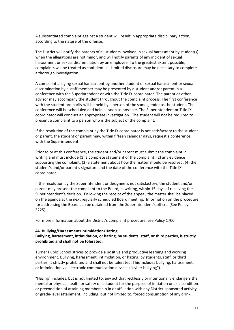A substantiated complaint against a student will result in appropriate disciplinary action, according to the nature of the offense.

The District will notify the parents of all students involved in sexual harassment by student(s) when the allegations are not minor, and will notify parents of any incident of sexual harassment or sexual discrimination by an employee. To the greatest extent possible, complaints will be treated as confidential. Limited disclosure may be necessary to complete a thorough investigation.

A complaint alleging sexual harassment by another student or sexual harassment or sexual discrimination by a staff member may be presented by a student and/or parent in a conference with the Superintendent or with the Title IX coordinator. The parent or other advisor may accompany the student throughout the complaint process. The first conference with the student ordinarily will be held by a person of the same gender as the student. The conference will be scheduled and held as soon as possible. The Superintendent or Title IX coordinator will conduct an appropriate investigation. The student will not be required to present a complaint to a person who is the subject of the complaint.

If the resolution of the complaint by the Title IX coordinator is not satisfactory to the student or parent, the student or parent may, within fifteen calendar days, request a conference with the Superintendent.

Prior to or at this conference, the student and/or parent must submit the complaint in writing and must include (1) a complete statement of the complaint, (2) any evidence supporting the complaint, (3) a statement about how the matter should be resolved, (4) the student's and/or parent's signature and the date of the conference with the Title IX coordinator.

If the resolution by the Superintendent or designee is not satisfactory, the student and/or parent may present the complaint to the Board, in writing, within 15 days of receiving the Superintendent's decision. Following the receipt of the appeal, the matter shall be placed on the agenda at the next regularly scheduled Board meeting. Information on the procedure for addressing the Board can be obtained from the Superintendent's office. (See Policy 3225)

For more information about the District's complaint procedure, see Policy 1700.

#### **44. Bullying/Harassment/Intimidation/Hazing**

**Bullying, harassment, intimidation, or hazing, by students, staff, or third parties, is strictly prohibited and shall not be tolerated.**

Turner Public School strives to provide a positive and productive learning and working environment. Bullying, harassment, intimidation, or hazing, by students, staff, or third parties, is strictly prohibited and shall not be tolerated. This includes bullying, harassment, or intimidation via electronic communication devices ("cyber bullying").

"Hazing" includes, but is not limited to, any act that recklessly or intentionally endangers the mental or physical health or safety of a student for the purpose of initiation or as a condition or precondition of attaining membership in or affiliation with any District-sponsored activity or grade-level attainment, including, but not limited to, forced consumption of any drink,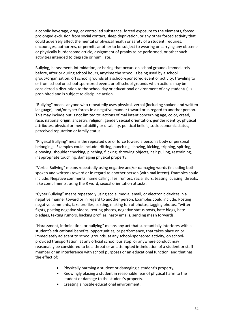alcoholic beverage, drug, or controlled substance, forced exposure to the elements, forced prolonged exclusion from social contact, sleep deprivation, or any other forced activity that could adversely affect the mental or physical health or safety of a student; requires, encourages, authorizes, or permits another to be subject to wearing or carrying any obscene or physically burdensome article, assignment of pranks to be performed, or other such activities intended to degrade or humiliate.

Bullying, harassment, intimidation, or hazing that occurs on school grounds immediately before, after or during school hours, anytime the school is being used by a school group/organization, off school grounds at a school-sponsored event or activity, traveling to or from school or school-sponsored event, or off school grounds when actions may be considered a disruption to the school day or educational environment of any student(s) is prohibited and is subject to discipline action.

"Bullying" means anyone who repeatedly uses physical, verbal (including spoken and written language), and/or cyber forces in a negative manner toward or in regard to another person. This may include but is not limited to: actions of mal intent concerning age, color, creed, race, national origin, ancestry, religion, gender, sexual orientation, gender identity, physical attributes, physical or mental ability or disability, political beliefs, socioeconomic status, perceived reputation or family status.

"Physical Bullying" means the repeated use of force toward a person's body or personal belongings. Examples could include: Hitting, punching, shoving, kicking, tripping, spitting, elbowing, shoulder checking, pinching, flicking, throwing objects, hair pulling, restraining, inappropriate touching, damaging physical property.

"Verbal Bullying" means repeatedly using negative and/or damaging words (including both spoken and written) toward or in regard to another person (with mal intent). Examples could include: Negative comments, name calling, lies, rumors, racial slurs, teasing, cussing, threats, fake compliments, using the R word, sexual orientation attacks.

"Cyber Bullying" means repeatedly using social media, email, or electronic devices in a negative manner toward or in regard to another person. Examples could include: Posting negative comments, fake profiles, sexting, making fun of photos, tagging photos, Twitter fights, posting negative videos, texting photos, negative status posts, hate blogs, hate pledges, texting rumors, hacking profiles, nasty emails, sending mean forwards.

"Harassment, intimidation, or bullying" means any act that substantially interferes with a student's educational benefits, opportunities, or performance, that takes place on or immediately adjacent to school grounds, at any school-sponsored activity, on schoolprovided transportation, at any official school bus stop, or anywhere conduct may reasonably be considered to be a threat or an attempted intimidation of a student or staff member or an interference with school purposes or an educational function, and that has the effect of:

- Physically harming a student or damaging a student's property;
- Knowingly placing a student in reasonable fear of physical harm to the student or damage to the student's property.
- Creating a hostile educational environment.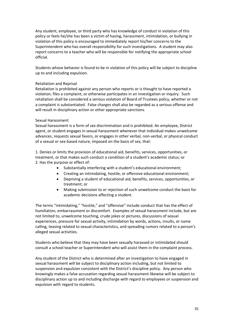Any student, employee, or third party who has knowledge of conduct in violation of this policy or feels he/she has been a victim of hazing, harassment, intimidation, or bullying in violation of this policy is encouraged to immediately report his/her concerns to the Superintendent who has overall responsibility for such investigations. A student may also report concerns to a teacher who will be responsible for notifying the appropriate school official.

Students whose behavior is found to be in violation of this policy will be subject to discipline up to and including expulsion.

#### Retaliation and Reprisal

Retaliation is prohibited against any person who reports or is thought to have reported a violation, files a complaint, or otherwise participates in an investigation or inquiry. Such retaliation shall be considered a serious violation of Board of Trustees policy, whether or not a complaint is substantiated. False charges shall also be regarded as a serious offense and will result in disciplinary action or other appropriate sanctions.

#### Sexual Harassment

Sexual harassment is a form of sex discrimination and is prohibited. An employee, District agent, or student engages in sexual harassment whenever that individual makes unwelcome advances, requests sexual favors, or engages in other verbal, non-verbal, or physical conduct of a sexual or sex-based nature, imposed on the basis of sex, that:

1. Denies or limits the provision of educational aid, benefits, services, opportunities, or treatment, or that makes such conduct a condition of a student's academic status; or 2. Has the purpose or effect of:

- Substantially interfering with a student's educational environment;
- Creating an intimidating, hostile, or offensive educational environment;
- Depriving a student of educational aid, benefits, services, opportunities, or treatment; or
- Making submission to or rejection of such unwelcome conduct the basis for academic decisions affecting a student.

The terms "intimidating," "hostile," and "offensive" include conduct that has the effect of humiliation, embarrassment or discomfort. Examples of sexual harassment include, but are not limited to, unwelcome touching, crude jokes or pictures, discussions of sexual experiences, pressure for sexual activity, intimidation by words, actions, insults, or name calling, teasing related to sexual characteristics, and spreading rumors related to a person's alleged sexual activities.

Students who believe that they may have been sexually harassed or intimidated should consult a school teacher or Superintendent who will assist them in the complaint process.

Any student of the District who is determined after an investigation to have engaged in sexual harassment will be subject to disciplinary action including, but not limited to suspension and expulsion consistent with the District's discipline policy. Any person who knowingly makes a false accusation regarding sexual harassment likewise will be subject to disciplinary action up to and including discharge with regard to employees or suspension and expulsion with regard to students.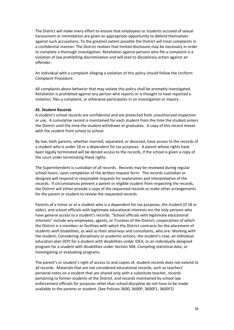The District will make every effort to ensure that employees or students accused of sexual harassment or intimidation are given an appropriate opportunity to defend themselves against such accusations. To the greatest extent possible the District will treat complaints in a confidential manner. The District realizes that limited disclosure may be necessary in order to complete a thorough investigation. Retaliation against persons who file a complaint is a violation of law prohibiting discrimination and will lead to disciplinary action against an offender.

An individual with a complaint alleging a violation of this policy should follow the Uniform Complaint Procedure.

All complaints about behavior that may violate this policy shall be promptly investigated. Retaliation is prohibited against any person who reports or is thought to have reported a violation, files a complaint, or otherwise participates in an investigation or inquiry.

#### **45. Student Records**

A student's school records are confidential and are protected from unauthorized inspection or use. A cumulative record is maintained for each student from the time the student enters the District until the time the student withdraws or graduates. A copy of this record moves with the student from school to school.

By law, both parents, whether married, separated, or divorced, have access to the records of a student who is under 18 or a dependent for tax purposes. A parent whose rights have been legally terminated will be denied access to the records, if the school is given a copy of the court order terminating these rights.

The Superintendent is custodian of all records. Records may be reviewed during regular school hours, upon completion of the written request form. The records custodian or designee will respond to reasonable requests for explanation and interpretation of the records. If circumstances prevent a parent or eligible student from inspecting the records, the District will either provide a copy of the requested records or make other arrangements for the parent or student to review the requested records.

Parents of a minor or of a student who is a dependent for tax purposes, the student (if 18 or older), and school officials with legitimate educational interests are the only persons who have general access to a student's records. "School officials with legitimate educational interests" include any employees, agents, or Trustees of the District; cooperatives of which the District is a member; or facilities with which the District contracts for the placement of students with disabilities, as well as their attorneys and consultants, who are: Working with the student; Considering disciplinary or academic actions, the student's case, an individual education plan (IEP) for a student with disabilities under IDEA, or an individually designed program for a student with disabilities under Section 504; Compiling statistical data; or Investigating or evaluating programs.

The parent's or student's right of access to and copies of, student records does not extend to all records. Materials that are not considered educational records, such as teachers' personal notes on a student that are shared only with a substitute teacher, records pertaining to former students of the District, and records maintained by school law enforcement officials for purposes other than school discipline do not have to be made available to the parents or student. (See Policies 3600, 3600P, 3600F1, 3600F2)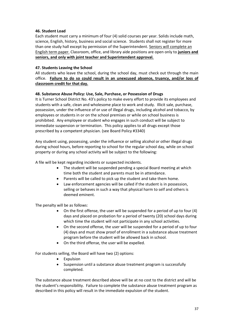#### **46. Student Load**

Each student must carry a minimum of four (4) solid courses per year. Solids include math, science, English, history, business and social science. Students shall not register for more than one study hall except by permission of the Superintendent. Seniors will complete an English term paper. Classroom, office, and library aide positions are open only to **juniors and seniors, and only with joint teacher and Superintendent approval.**

#### **47. Students Leaving the School**

All students who leave the school, during the school day, must check out through the main office. **Failure to do so could result in an unexcused absence, truancy, and/or loss of classroom credit for that day.**

#### **48. Substance Abuse Policy: Use, Sale, Purchase, or Possession of Drugs**

It is Turner School District No. 43's policy to make every effort to provide its employees and students with a safe, clean and wholesome place to work and study. Illicit sale, purchase, possession, under the influence of or use of illegal drugs, including alcohol and tobacco, by employees or students in or on the school premises or while on school business is prohibited. Any employee or student who engages in such conduct will be subject to immediate suspension or termination. This policy applies to all drugs except those prescribed by a competent physician. (see Board Policy #3340)

Any student using, possessing, under the influence or selling alcohol or other illegal drugs during school hours, before reporting to school for the regular school day, while on school property or during any school activity will be subject to the following:

A file will be kept regarding incidents or suspected incidents.

- The student will be suspended pending a special Board meeting at which time both the student and parents must be in attendance.
- Parents will be called to pick up the student and take them home.
- Law enforcement agencies will be called if the student is in possession, selling or behaves in such a way that physical harm to self and others is deemed eminent.

The penalty will be as follows:

- On the first offense, the user will be suspended for a period of up to four (4) days and placed on probation for a period of twenty (20) school days during which time the student will not participate in any school activities.
- On the second offense, the user will be suspended for a period of up to four (4) days and must show proof of enrollment in a substance abuse treatment program before the student will be allowed back in school.
- On the third offense, the user will be expelled.

For students selling, the Board will have two (2) options:

- Expulsion
- Suspension until a substance abuse treatment program is successfully completed.

The substance abuse treatment described above will be at no cost to the district and will be the student's responsibility. Failure to complete the substance abuse treatment program as described in this policy will result in the immediate expulsion of the student.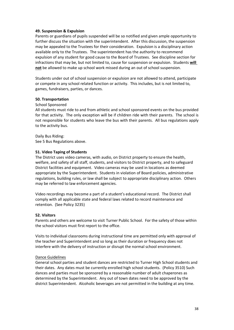#### **49. Suspension & Expulsion**

Parents or guardians of pupils suspended will be so notified and given ample opportunity to further discuss the situation with the superintendent. After this discussion, the suspension may be appealed to the Trustees for their consideration. Expulsion is a disciplinary action available only to the Trustees. The superintendent has the authority to recommend expulsion of any student for good cause to the Board of Trustees. See discipline section for infractions that may be, but not limited to, cause for suspension or expulsion. Students **will not** be allowed to make up school work missed during an out of school suspension.

Students under out of school suspension or expulsion are not allowed to attend, participate or compete in any school related function or activity. This includes, but is not limited to, games, fundraisers, parties, or dances.

#### **50. Transportation**

#### School Sponsored

All students must ride to and from athletic and school sponsored events on the bus provided for that activity. The only exception will be if children ride with their parents. The school is not responsible for students who leave the bus with their parents. All bus regulations apply to the activity bus.

Daily Bus Riding: See 5 Bus Regulations above.

#### **51. Video Taping of Students**

The District uses video cameras, with audio, on District property to ensure the health, welfare, and safety of all staff, students, and visitors to District property, and to safeguard District facilities and equipment. Video cameras may be used in locations as deemed appropriate by the Superintendent. Students in violation of Board policies, administrative regulations, building rules, or law shall be subject to appropriate disciplinary action. Others may be referred to law enforcement agencies.

Video recordings may become a part of a student's educational record. The District shall comply with all applicable state and federal laws related to record maintenance and retention. (See Policy 3235)

#### **52. Visitors**

Parents and others are welcome to visit Turner Public School. For the safety of those within the school visitors must first report to the office.

Visits to individual classrooms during instructional time are permitted only with approval of the teacher and Superintendent and so long as their duration or frequency does not interfere with the delivery of instruction or disrupt the normal school environment.

#### Dance Guidelines

General school parties and student dances are restricted to Turner High School students and their dates. Any dates must be currently enrolled high school students. (Policy 3510) Such dances and parties must be sponsored by a reasonable number of adult chaperones as determined by the Superintendent. Any out of town dates need to be approved by the district Superintendent. Alcoholic beverages are not permitted in the building at any time.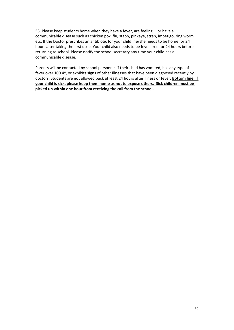53. Please keep students home when they have a fever, are feeling ill or have a communicable disease such as chicken pox, flu, staph, pinkeye, strep, impetigo, ring worm, etc. If the Doctor prescribes an antibiotic for your child, he/she needs to be home for 24 hours after taking the first dose. Your child also needs to be fever-free for 24 hours before returning to school. Please notify the school secretary any time your child has a communicable disease.

Parents will be contacted by school personnel if their child has vomited, has any type of fever over 100.4°, or exhibits signs of other illnesses that have been diagnosed recently by doctors. Students are not allowed back at least 24 hours after illness or fever. **Bottom line, if your child is sick, please keep them home as not to expose others. Sick children must be picked up within one hour from receiving the call from the school.**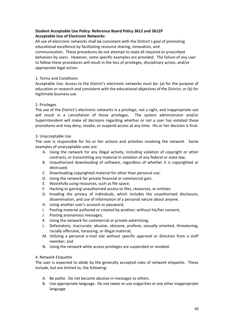# **Student Acceptable Use Policy: Reference Board Policy 3612 and 3612P Acceptable Use of Electronic Networks**

All use of electronic networks shall be consistent with the District's goal of promoting educational excellence by facilitating resource sharing, innovation, and communication. These procedures do not attempt to state all required or proscribed behaviors by users. However, some specific examples are provided. The failure of any user to follow these procedures will result in the loss of privileges, disciplinary action, and/or appropriate legal action.

#### 1. Terms and Conditions

Acceptable Use: Access to the District's electronic networks must be: (a) for the purpose of education or research and consistent with the educational objectives of the District; or (b) for legitimate business use.

#### 2. Privileges

The use of the District's electronic networks is a privilege, not a right, and inappropriate use will result in a cancellation of those privileges. The system administrator and/or Superintendent will make all decisions regarding whether or not a user has violated these procedures and may deny, revoke, or suspend access at any time. His or her decision is final.

#### 3. Unacceptable Use

The user is responsible for his or her actions and activities involving the network. Some examples of unacceptable uses are:

- A. Using the network for any illegal activity, including violation of copyright or other contracts, or transmitting any material in violation of any federal or state law;
- B. Unauthorized downloading of software, regardless of whether it is copyrighted or devirused;
- C. Downloading copyrighted material for other than personal use;
- D. Using the network for private financial or commercial gain.
- E. Wastefully using resources, such as file space;
- F. Hacking or gaining unauthorized access to files, resources, or entities.
- G. Invading the privacy of individuals, which includes the unauthorized disclosure, dissemination, and use of information of a personal nature about anyone.
- H. Using another user's account or password;
- I. Posting material authored or created by another; without his/her consent;
- J. Posting anonymous messages;
- K. Using the network for commercial or private advertising;
- L. Defamatory, inaccurate, abusive, obscene, profane, sexually oriented, threatening, racially offensive, harassing, or illegal material;
- M. Utilizing a personal e-mail site without specific approval or direction from a staff member; and
- N. Using the network while access privileges are suspended or revoked.

#### 4. Network Etiquette

The user is expected to abide by the generally accepted rules of network etiquette. These include, but are limited to, the following:

- A. Be polite. Do not become abusive in messages to others.
- B. Use appropriate language. Do not swear or use vulgarities or any other inappropriate language.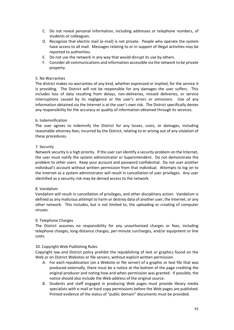- C. Do not reveal personal information, including addresses or telephone numbers, of students or colleagues.
- D. Recognize that electric mail (e-mail) is not private. People who operate the system have access to all mail. Messages relating to or in support of illegal activities may be reported to authorities.
- E. Do not use the network in any way that would disrupt its use by others.
- F. Consider all communications and information accessible via the network to be private property.

#### 5. No Warranties

The district makes no warranties of any kind, whether expressed or implied, for the service it is providing. The District will not be responsible for any damages the user suffers. This includes loss of data resulting from delays, non-deliveries, missed deliveries, or service interruptions caused by its negligence or the user's errors or omissions. Use of any information obtained via the Internet is at the user's own risk. The District specifically denies any responsibility for the accuracy or quality of information obtained through its services.

#### 6. Indemnification

The user agrees to indemnify the District for any losses, costs, or damages, including reasonable attorney fees, incurred by the District, relating to or arising out of any violation of these procedures.

#### 7. Security

Network security is a high priority. If the user can identify a security problem on the Internet, the user must notify the system administrator or Superintendent. Do not demonstrate the problem to other users. Keep your account and password confidential. Do not user another individual's account without written permission from that individual. Attempts to log on to the Internet as a system administrator will result in cancellation of user privileges. Any user identified as a security risk may be denied access to the network.

#### 8. Vandalism

Vandalism will result in cancellation of privileges, and other disciplinary action. Vandalism is defined as any malicious attempt to harm or destroy data of another user, the Internet, or any other network. This includes, but is not limited to, the uploading or creating of computer viruses.

#### 9. Telephone Charges

The District assumes no responsibility for any unauthorized charges or fees, including telephone charges, long-distance charges, per-minute surcharges, and/or equipment or line costs.

#### 10. Copyright Web Publishing Rules

Copyright law and District policy prohibit the republishing of text or graphics found on the Web or on District Websites or file servers, without explicit written permission.

- A. For each republication (on a Website or file server) of a graphic or text file that was produced externally, there must be a notice at the bottom of the page crediting the original producer and noting how and when permission was granted. If possible, the notice should also include the Web address of the original source.
- B. Students and staff engaged in producing Web pages must provide library media specialists with e-mail or hard copy permissions before the Web pages are published. Printed evidence of the status of "public domain" documents must be provided.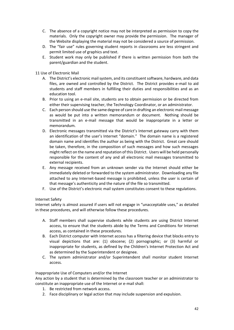- C. The absence of a copyright notice may not be interpreted as permission to copy the materials. Only the copyright owner may provide the permission. The manager of the Website displaying the material may not be considered a source of permission.
- D. The "fair use" rules governing student reports in classrooms are less stringent and permit limited use of graphics and text.
- E. Student work may only be published if there is written permission from both the parent/guardian and the student.

#### 11 Use of Electronic Mail

- A. The District's electronic mail system, and its constituent software, hardware, and data files, are owned and controlled by the District. The District provides e-mail to aid students and staff members in fulfilling their duties and responsibilities and as an education tool.
- B. Prior to using an e-mail site, students are to obtain permission or be directed from either their supervising teacher, the Technology Coordinator, or an administrator.
- C. Each person should use the same degree of care in drafting an electronic mail message as would be put into a written memorandum or document. Nothing should be transmitted in an e-mail message that would be inappropriate in a letter or memorandum.
- D. Electronic messages transmitted via the District's Internet gateway carry with them an identification of the user's Internet "domain." The domain name is a registered domain name and identifies the author as being with the District. Great care should be taken, therefore, in the composition of such messages and how such messages might reflect on the name and reputation of this District. Users will be held personally responsible for the content of any and all electronic mail messages transmitted to external recipients.
- E. Any message received from an unknown sender via the Internet should either be immediately deleted or forwarded to the system administrator. Downloading any file attached to any Internet-based message is prohibited, unless the user is certain of that message's authenticity and the nature of the file so transmitted.
- F. Use of the District's electronic mail system constitutes consent to these regulations.

#### Internet Safety

Internet safety is almost assured if users will not engage in "unacceptable uses," as detailed in these procedures, and will otherwise follow these procedures.

- A. Staff members shall supervise students while students are using District Internet access, to ensure that the students abide by the Terms and Conditions for Internet access, as contained in these procedures.
- B. Each District computer with Internet access has a filtering device that blocks entry to visual depictions that are: (1) obscene; (2) pornographic; or (3) harmful or inappropriate for students, as defined by the Children's Internet Protection Act and as determined by the Superintendent or designee.
- C. The system administrator and/or Superintendent shall monitor student Internet access.

#### Inappropriate Use of Computers and/or the Internet

Any action by a student that is determined by the classroom teacher or an administrator to constitute an inappropriate use of the Internet or e-mail shall:

- 1. Be restricted from network access.
- 2. Face disciplinary or legal action that may include suspension and expulsion.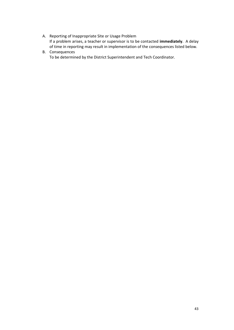- A. Reporting of Inappropriate Site or Usage Problem If a problem arises, a teacher or supervisor is to be contacted **immediately**. A delay of time in reporting may result in implementation of the consequences listed below.
- B. Consequences To be determined by the District Superintendent and Tech Coordinator.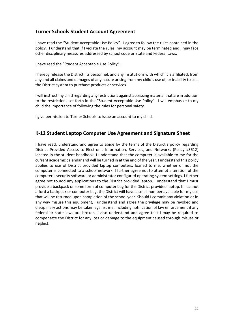# **Turner Schools Student Account Agreement**

I have read the "Student Acceptable Use Policy". I agree to follow the rules contained in the policy. I understand that if I violate the rules, my account may be terminated and I may face other disciplinary measures addressed by school code or State and Federal Laws.

I have read the "Student Acceptable Use Policy".

I hereby release the District, its personnel, and any institutions with which it is affiliated, from any and all claims and damages of any nature arising from my child's use of, or inability to use, the District system to purchase products or services.

I will instruct my child regarding any restrictions against accessing material that are in addition to the restrictions set forth in the "Student Acceptable Use Policy". I will emphasize to my child the importance of following the rules for personal safety.

I give permission to Turner Schools to issue an account to my child.

# **K-12 Student Laptop Computer Use Agreement and Signature Sheet**

I have read, understand and agree to abide by the terms of the District's policy regarding District Provided Access to Electronic Information, Services, and Networks (Policy #3612) located in the student handbook. I understand that the computer is available to me for the current academic calendar and will be turned in at the end of the year. I understand this policy applies to use of District provided laptop computers, loaned to me, whether or not the computer is connected to a school network. I further agree not to attempt alteration of the computer's security software or administrator configured operating system settings. I further agree not to add any applications to the District provided laptop. I understand that I must provide a backpack or some form of computer bag for the District provided laptop. If I cannot afford a backpack or computer bag, the District will have a small number available for my use that will be returned upon completion of the school year. Should I commit any violation or in any way misuse this equipment, I understand and agree the privilege may be revoked and disciplinary actions may be taken against me, including notification of law enforcement if any federal or state laws are broken. I also understand and agree that I may be required to compensate the District for any loss or damage to the equipment caused through misuse or neglect.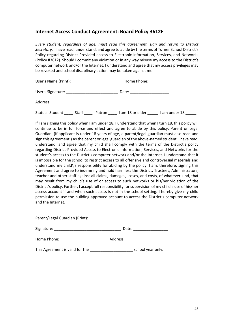# **Internet Access Conduct Agreement: Board Policy 3612F**

*Every student, regardless of age, must read this agreement, sign and return to District Secretary.* I have read, understand, and agree to abide by the terms of Turner School District's Policy regarding District-Provided access to Electronic Information, Services, and Networks (Policy #3612). Should I commit any violation or in any way misuse my access to the District's computer network and/or the Internet, I understand and agree that my access privileges may be revoked and school disciplinary action may be taken against me.

User's Name (Print): \_\_\_\_\_\_\_\_\_\_\_\_\_\_\_\_\_\_\_\_\_\_\_\_\_\_\_\_\_\_\_\_\_\_Home Phone: \_\_\_\_\_\_\_\_\_\_\_\_\_\_

User's Signature: \_\_\_\_\_\_\_\_\_\_\_\_\_\_\_\_\_\_\_\_\_\_\_\_ Date: \_\_\_\_\_\_\_\_\_\_\_\_\_\_\_\_\_\_

Address: \_\_\_\_\_\_\_\_\_\_\_\_\_\_\_\_\_\_\_\_\_\_\_\_\_\_\_\_\_\_\_\_\_\_\_\_\_\_\_\_\_\_\_\_

Status: Student \_\_\_\_\_ Staff \_\_\_\_\_ Patron \_\_\_\_\_ I am 18 or older \_\_\_\_\_\_ I am under 18

If I am signing this policy when I am under 18, I understand that when I turn 18, this policy will continue to be in full force and effect and agree to abide by this policy. Parent or Legal Guardian. (If applicant is under 18 years of age, a parent/legal guardian must also read and sign this agreement.) As the parent or legal guardian of the above-named student, I have read, understand, and agree that my child shall comply with the terms of the District's policy regarding District-Provided Access to Electronic Information, Services, and Networks for the student's access to the District's computer network and/or the Internet. I understand that it is impossible for the school to restrict access to all offensive and controversial materials and understand my child\'s responsibility for abiding by the policy. I am, therefore, signing this Agreement and agree to indemnify and hold harmless the District, Trustees, Administrators, teacher and other staff against all claims, damages, losses, and costs, of whatever kind, that may result from my child's use of or access to such networks or his/her violation of the District's policy. Further, I accept full responsibility for supervision of my child's use of his/her access account if and when such access is not in the school setting. I hereby give my child permission to use the building approved account to access the District's computer network and the Internet.

|                                                                                                                                                                                                                                | Date:                                                                                                                                                                                                                          |  |  |
|--------------------------------------------------------------------------------------------------------------------------------------------------------------------------------------------------------------------------------|--------------------------------------------------------------------------------------------------------------------------------------------------------------------------------------------------------------------------------|--|--|
| Home Phone: New York Phone State Phone State Phone State Phone State Phone State Phone State Phone State Phone State Phone State Phone State Phone State Phone State Phone State Phone State Phone State Phone State Phone Sta | Address: and the state of the state of the state of the state of the state of the state of the state of the state of the state of the state of the state of the state of the state of the state of the state of the state of t |  |  |
| This Agreement is valid for the                                                                                                                                                                                                | school year only.                                                                                                                                                                                                              |  |  |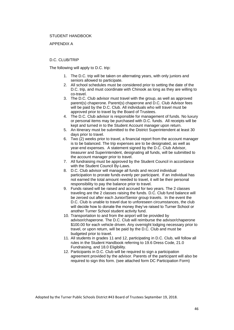#### STUDENT HANDBOOK

#### APPENDIX A

#### D.C. CLUB/TRIP

The following will apply to D.C. trip:

- 1. The D.C. trip will be taken on alternating years, with only juniors and seniors allowed to participate.
- 2. All school schedules must be considered prior to setting the date of the D.C. trip, and must coordinate with Chinook as long as they are willing to co-travel.
- 3. The D.C. Club advisor must travel with the group, as well as approved parent(s) chaperone. Parent(s) chaperone and D.C. Club Advisor fees will be paid by the D.C. Club. All individuals who will travel must be approved prior to travel by the Board of Trustees.
- 4. The D.C. Club advisor is responsible for management of funds. No luxury or personal items may be purchased with D.C. funds. All receipts will be kept and turned in to the Student Account manager upon return.
- 5. An itinerary must be submitted to the District Superintendent at least 30 days prior to travel.
- 6. Two (2) weeks prior to travel, a financial report from the account manager is to be balanced. The trip expenses are to be designated, as well as year-end expenses. A statement signed by the D.C. Club Advisor, treasurer and Superintendent, designating all funds, will be submitted to the account manager prior to travel.
- 7. All fundraising must be approved by the Student Council in accordance with the Student Council By-Laws.
- 8. D.C. Club advisor will manage all funds and record individual participation to prorate funds evenly per participant. If an individual has not earned the total amount needed to travel, it will be their personal responsibility to pay the balance prior to travel.
- 9. Funds raised will be raised and accrued for two years. The 2 classes traveling are the 2 classes raising the funds. D.C. Club fund balance will be zeroed out after each Junior/Senior group travels. In the event the D.C. Club is unable to travel due to unforeseen circumstances, the club will decide how to donate the money they've raised to Turner School or another Turner School student activity fund.
- 10. Transportation to and from the airport will be provided by advisor/chaperone. The D.C. Club will reimburse the advisor/chaperone \$100.00 for each vehicle driven. Any overnight lodging necessary prior to travel, or upon return, will be paid by the D.C. Club and must be budgeted prior to travel.
- 11. All students in grades 11 and 12, participating in D.C. Club, will follow all rules in the Student Handbook referring to 19.6 Dress Code, 21.0 Fundraising, and 18.0 Eligibility.
- 12. Participants in D.C. Club will be required to sign a participation agreement provided by the advisor. Parents of the participant will also be required to sign this form. (see attached form DC Participation Form)

Adopted by the Turner Public Schools District #43 Board of Trustees September 19, 2018.